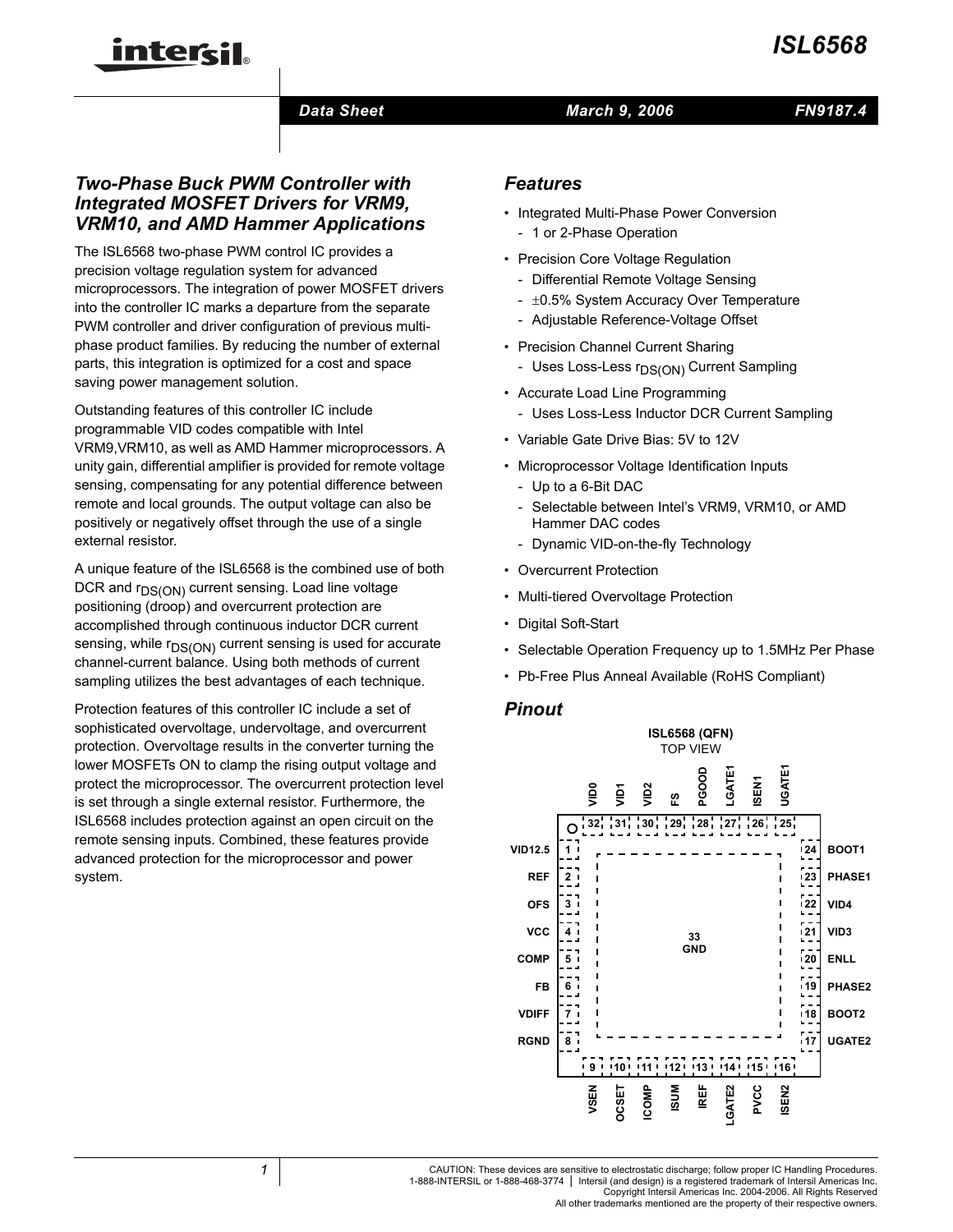### *Data Sheet*

#### *March 9, 2006*

### *Two-Phase Buck PWM Controller with Integrated MOSFET Drivers for VRM9, VRM10, and AMD Hammer Applications*

inter<del>ci</del>l.

The ISL6568 two-phase PWM control IC provides a precision voltage regulation system for advanced microprocessors. The integration of power MOSFET drivers into the controller IC marks a departure from the separate PWM controller and driver configuration of previous multiphase product families. By reducing the number of external parts, this integration is optimized for a cost and space saving power management solution.

Outstanding features of this controller IC include programmable VID codes compatible with Intel VRM9,VRM10, as well as AMD Hammer microprocessors. A unity gain, differential amplifier is provided for remote voltage sensing, compensating for any potential difference between remote and local grounds. The output voltage can also be positively or negatively offset through the use of a single external resistor.

A unique feature of the ISL6568 is the combined use of both DCR and  $r_{DS(ON)}$  current sensing. Load line voltage positioning (droop) and overcurrent protection are accomplished through continuous inductor DCR current sensing, while  $r_{DS(ON)}$  current sensing is used for accurate channel-current balance. Using both methods of current sampling utilizes the best advantages of each technique.

Protection features of this controller IC include a set of sophisticated overvoltage, undervoltage, and overcurrent protection. Overvoltage results in the converter turning the lower MOSFETs ON to clamp the rising output voltage and protect the microprocessor. The overcurrent protection level is set through a single external resistor. Furthermore, the ISL6568 includes protection against an open circuit on the remote sensing inputs. Combined, these features provide advanced protection for the microprocessor and power system.

### *Features*

- Integrated Multi-Phase Power Conversion - 1 or 2-Phase Operation
- Precision Core Voltage Regulation
	- Differential Remote Voltage Sensing
	- $\pm 0.5$ % System Accuracy Over Temperature
	- Adjustable Reference-Voltage Offset
- Precision Channel Current Sharing
	- Uses Loss-Less r<sub>DS(ON)</sub> Current Sampling
- Accurate Load Line Programming
	- Uses Loss-Less Inductor DCR Current Sampling
- Variable Gate Drive Bias: 5V to 12V
- Microprocessor Voltage Identification Inputs
	- Up to a 6-Bit DAC
	- Selectable between Intel's VRM9, VRM10, or AMD Hammer DAC codes
	- Dynamic VID-on-the-fly Technology
- Overcurrent Protection
- Multi-tiered Overvoltage Protection
- Digital Soft-Start
- Selectable Operation Frequency up to 1.5MHz Per Phase
- Pb-Free Plus Anneal Available (RoHS Compliant)

#### *Pinout*

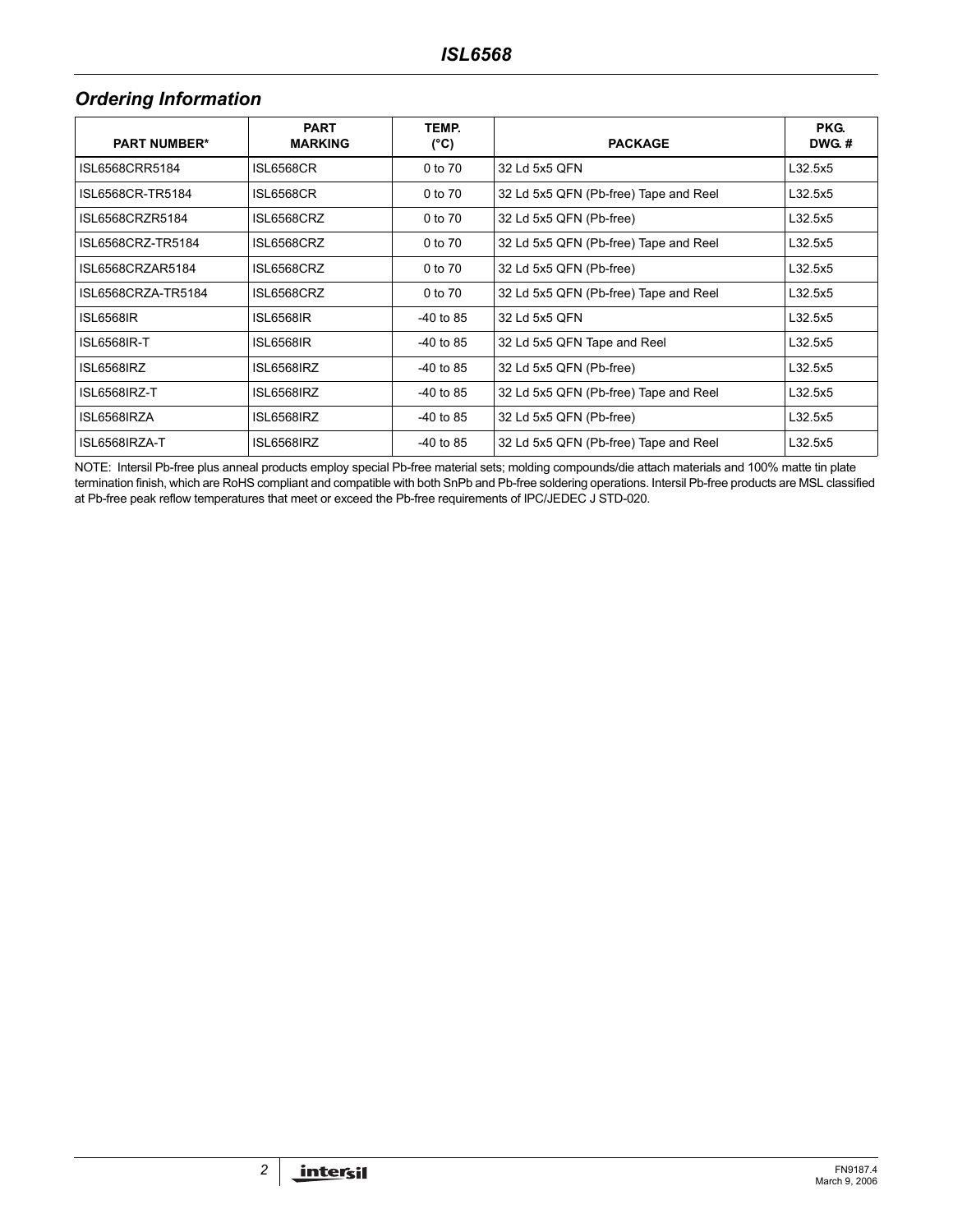# *Ordering Information*

| <b>PART NUMBER*</b> | <b>PART</b><br><b>MARKING</b> | TEMP.<br>(°C) | <b>PACKAGE</b>                        | PKG.<br><b>DWG.#</b> |
|---------------------|-------------------------------|---------------|---------------------------------------|----------------------|
| ISL6568CRR5184      | <b>ISL6568CR</b>              | 0 to 70       | 32 Ld 5x5 QFN                         | L32.5x5              |
| ISL6568CR-TR5184    | <b>ISL6568CR</b>              | 0 to 70       | 32 Ld 5x5 QFN (Pb-free) Tape and Reel | L32.5x5              |
| ISL6568CRZR5184     | ISL6568CRZ                    | 0 to 70       | 32 Ld 5x5 QFN (Pb-free)               | L32.5x5              |
| ISL6568CRZ-TR5184   | ISL6568CRZ                    | 0 to 70       | 32 Ld 5x5 QFN (Pb-free) Tape and Reel | L32.5x5              |
| ISL6568CRZAR5184    | ISL6568CRZ                    | 0 to 70       | 32 Ld 5x5 QFN (Pb-free)               | L32.5x5              |
| ISL6568CRZA-TR5184  | ISL6568CRZ                    | 0 to 70       | 32 Ld 5x5 QFN (Pb-free) Tape and Reel | L32.5x5              |
| <b>ISL6568IR</b>    | <b>ISL6568IR</b>              | -40 to 85     | 32 Ld 5x5 QFN                         | L32.5x5              |
| <b>ISL6568IR-T</b>  | <b>ISL6568IR</b>              | $-40$ to 85   | 32 Ld 5x5 QFN Tape and Reel           | L32.5x5              |
| ISL6568IRZ          | ISL6568IRZ                    | $-40$ to 85   | 32 Ld 5x5 QFN (Pb-free)               | L32.5x5              |
| ISL6568IRZ-T        | ISL6568IRZ                    | $-40$ to 85   | 32 Ld 5x5 QFN (Pb-free) Tape and Reel | L32.5x5              |
| ISL6568IRZA         | ISL6568IRZ                    | -40 to 85     | 32 Ld 5x5 QFN (Pb-free)               | L32.5x5              |
| ISL6568IRZA-T       | ISL6568IRZ                    | $-40$ to 85   | 32 Ld 5x5 QFN (Pb-free) Tape and Reel | L32.5x5              |

NOTE: Intersil Pb-free plus anneal products employ special Pb-free material sets; molding compounds/die attach materials and 100% matte tin plate termination finish, which are RoHS compliant and compatible with both SnPb and Pb-free soldering operations. Intersil Pb-free products are MSL classified at Pb-free peak reflow temperatures that meet or exceed the Pb-free requirements of IPC/JEDEC J STD-020.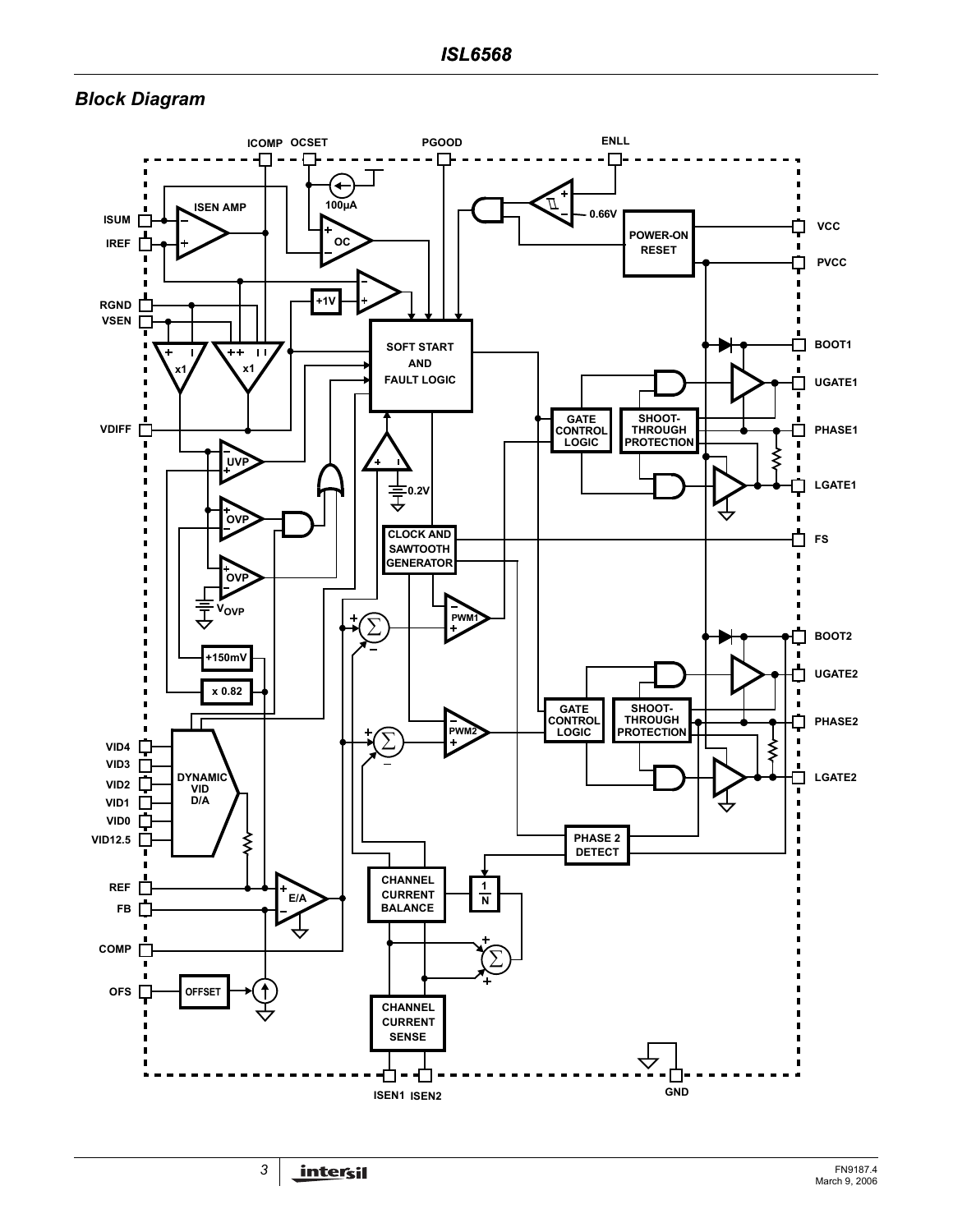## *Block Diagram*

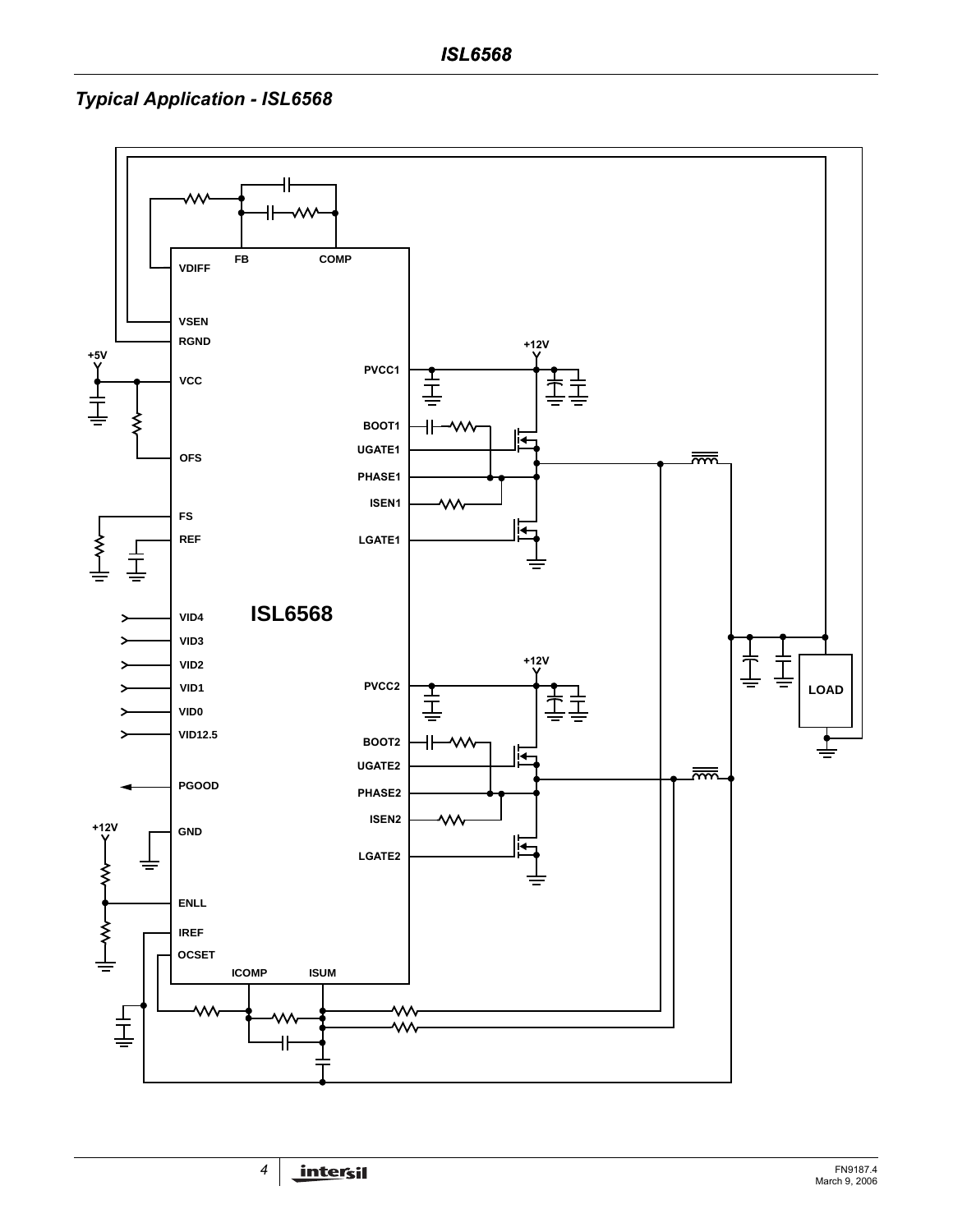# *Typical Application - ISL6568*

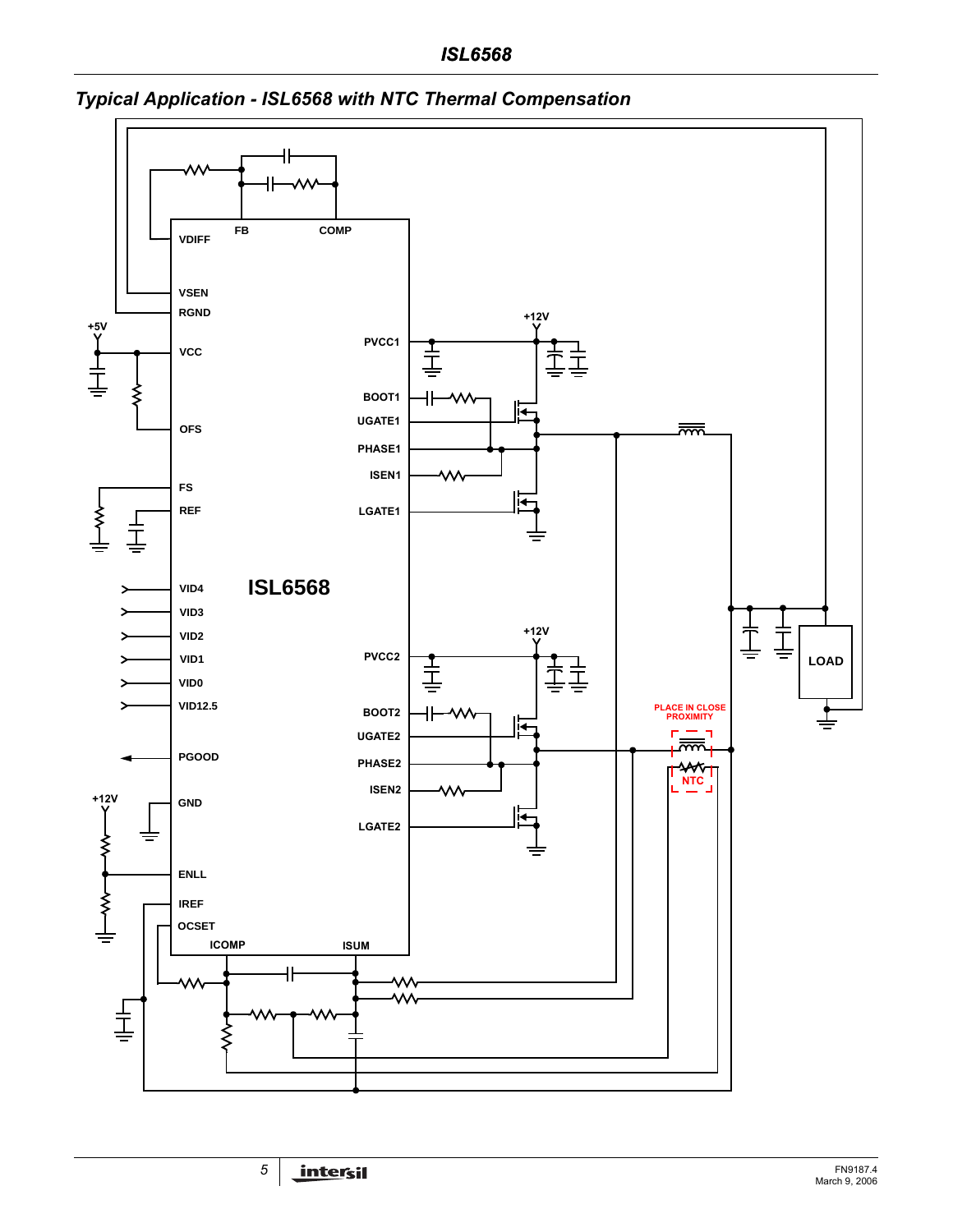# *ISL6568*



# *Typical Application - ISL6568 with NTC Thermal Compensation*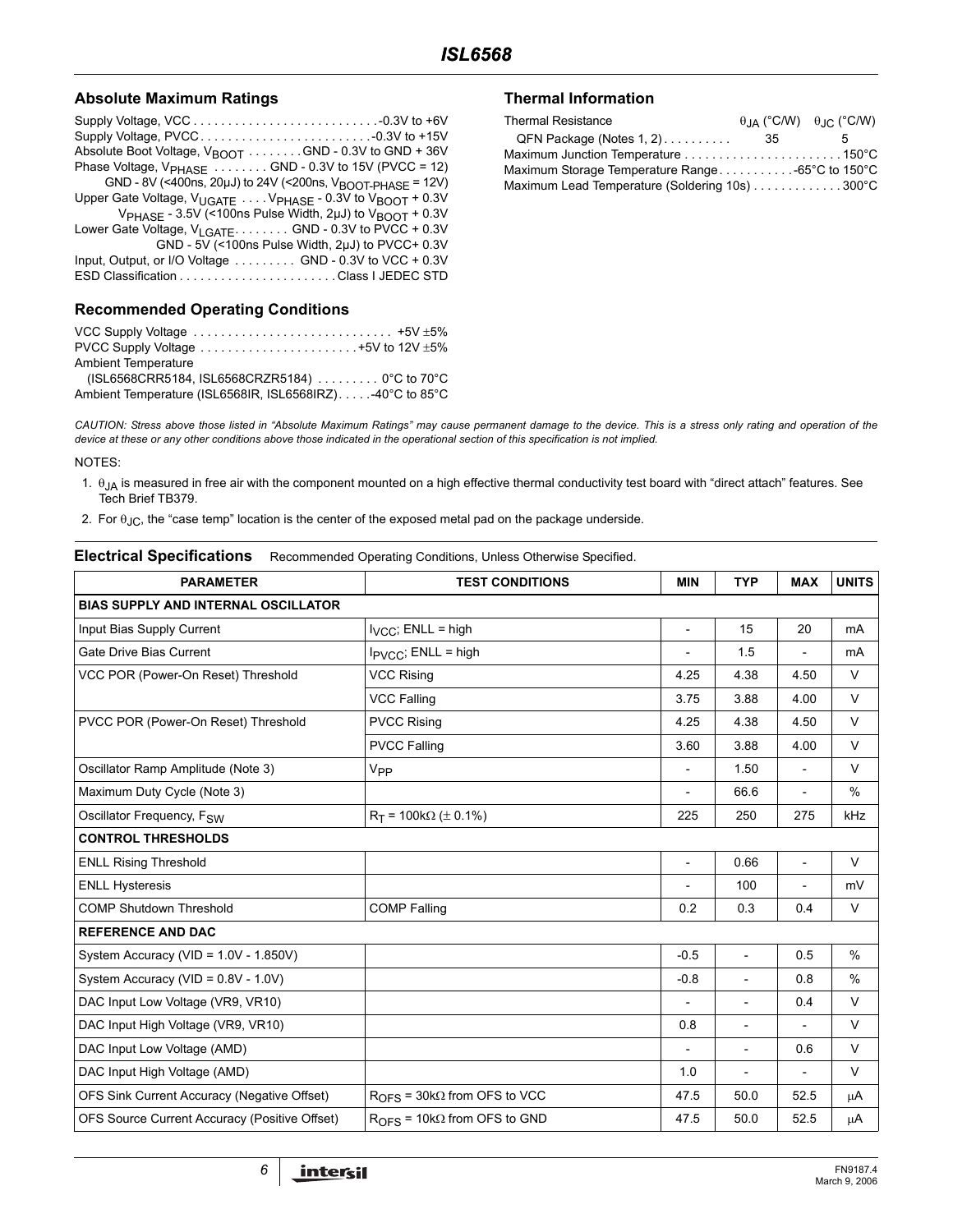#### **Absolute Maximum Ratings**

| Absolute Boot Voltage, $V_{\text{BOOT}}$ GND - 0.3V to GND + 36V                |  |
|---------------------------------------------------------------------------------|--|
| Phase Voltage, $V_{PHASE}$ GND - 0.3V to 15V (PVCC = 12)                        |  |
| GND - 8V (<400ns, 20µJ) to 24V (<200ns, V <sub>BOOT-PHASE</sub> = 12V)          |  |
| Upper Gate Voltage, $V_{UGATE}$ $V_{PHASE}$ - 0.3V to $V_{BOOT}$ + 0.3V         |  |
| V <sub>PHASE</sub> - 3.5V (<100ns Pulse Width, 2µJ) to V <sub>BOOT</sub> + 0.3V |  |
| Lower Gate Voltage, V <sub>LGATE</sub> GND - 0.3V to PVCC + 0.3V                |  |
| GND - 5V (<100ns Pulse Width, 2uJ) to PVCC+ 0.3V                                |  |
| Input, Output, or I/O Voltage GND - 0.3V to VCC + 0.3V                          |  |
|                                                                                 |  |
|                                                                                 |  |

#### **Recommended Operating Conditions**

| VCC Supply Voltage $\ldots \ldots \ldots \ldots \ldots \ldots \ldots \ldots \ldots \ldots \ldots$ |  |
|---------------------------------------------------------------------------------------------------|--|
| PVCC Supply Voltage $\dots\dots\dots\dots\dots\dots\dots\dots\dots+5V$ to 12V $\pm 5\%$           |  |
| <b>Ambient Temperature</b>                                                                        |  |
| (ISL6568CRR5184, ISL6568CRZR5184)  0°C to 70°C                                                    |  |
| Ambient Temperature (ISL6568IR, ISL6568IRZ)40°C to 85°C                                           |  |

#### **Thermal Information**

| <b>Thermal Resistance</b>                        |      | $\theta$ <sub>JA</sub> (°C/W) $\theta$ <sub>JC</sub> (°C/W) |
|--------------------------------------------------|------|-------------------------------------------------------------|
| QFN Package (Notes 1, 2)                         | - 35 | h                                                           |
|                                                  |      |                                                             |
| Maximum Storage Temperature Range -65°C to 150°C |      |                                                             |
| Maximum Lead Temperature (Soldering 10s) 300°C   |      |                                                             |

*CAUTION: Stress above those listed in "Absolute Maximum Ratings" may cause permanent damage to the device. This is a stress only rating and operation of the device at these or any other conditions above those indicated in the operational section of this specification is not implied.*

#### NOTES:

- 1.  $\theta_{JA}$  is measured in free air with the component mounted on a high effective thermal conductivity test board with "direct attach" features. See Tech Brief TB379.
- 2. For  $\theta_{JC}$ , the "case temp" location is the center of the exposed metal pad on the package underside.

#### **Electrical Specifications** Recommended Operating Conditions, Unless Otherwise Specified.

| <b>PARAMETER</b>                              | <b>TEST CONDITIONS</b>                | <b>MIN</b>               | <b>TYP</b>               | <b>MAX</b>               | <b>UNITS</b> |
|-----------------------------------------------|---------------------------------------|--------------------------|--------------------------|--------------------------|--------------|
| <b>BIAS SUPPLY AND INTERNAL OSCILLATOR</b>    |                                       |                          |                          |                          |              |
| Input Bias Supply Current                     | $I_{VCC}$ ; ENLL = high               | $\overline{\phantom{0}}$ | 15                       | 20                       | mA           |
| Gate Drive Bias Current                       | I <sub>PVCC</sub> ; ENLL = high       | $\overline{a}$           | 1.5                      |                          | mA           |
| VCC POR (Power-On Reset) Threshold            | <b>VCC Rising</b>                     | 4.25                     | 4.38                     | 4.50                     | $\vee$       |
|                                               | <b>VCC Falling</b>                    | 3.75                     | 3.88                     | 4.00                     | V            |
| PVCC POR (Power-On Reset) Threshold           | <b>PVCC Rising</b>                    | 4.25                     | 4.38                     | 4.50                     | $\vee$       |
|                                               | <b>PVCC Falling</b>                   | 3.60                     | 3.88                     | 4.00                     | $\vee$       |
| Oscillator Ramp Amplitude (Note 3)            | V <sub>PP</sub>                       |                          | 1.50                     | $\overline{a}$           | $\vee$       |
| Maximum Duty Cycle (Note 3)                   |                                       |                          | 66.6                     |                          | $\%$         |
| Oscillator Frequency, F <sub>SW</sub>         | $R_T$ = 100k $\Omega$ ( $\pm$ 0.1%)   | 225                      | 250                      | 275                      | kHz          |
| <b>CONTROL THRESHOLDS</b>                     |                                       |                          |                          |                          |              |
| <b>ENLL Rising Threshold</b>                  |                                       | $\overline{\phantom{0}}$ | 0.66                     | $\overline{\phantom{a}}$ | $\vee$       |
| <b>ENLL Hysteresis</b>                        |                                       |                          | 100                      | $\overline{\phantom{a}}$ | mV           |
| <b>COMP Shutdown Threshold</b>                | <b>COMP Falling</b>                   | 0.2                      | 0.3                      | 0.4                      | $\vee$       |
| <b>REFERENCE AND DAC</b>                      |                                       |                          |                          |                          |              |
| System Accuracy (VID = 1.0V - 1.850V)         |                                       | $-0.5$                   | $\overline{\phantom{a}}$ | 0.5                      | $\%$         |
| System Accuracy (VID = 0.8V - 1.0V)           |                                       | $-0.8$                   | $\overline{\phantom{a}}$ | 0.8                      | $\%$         |
| DAC Input Low Voltage (VR9, VR10)             |                                       | $\overline{a}$           | $\overline{\phantom{a}}$ | 0.4                      | $\vee$       |
| DAC Input High Voltage (VR9, VR10)            |                                       | 0.8                      | $\overline{a}$           |                          | $\vee$       |
| DAC Input Low Voltage (AMD)                   |                                       | $\overline{\phantom{0}}$ | $\overline{a}$           | 0.6                      | $\vee$       |
| DAC Input High Voltage (AMD)                  |                                       | 1.0                      |                          |                          | $\vee$       |
| OFS Sink Current Accuracy (Negative Offset)   | $ROES$ = 30k $\Omega$ from OFS to VCC | 47.5                     | 50.0                     | 52.5                     | μA           |
| OFS Source Current Accuracy (Positive Offset) | $ROFS = 10k\Omega$ from OFS to GND    | 47.5                     | 50.0                     | 52.5                     | $\mu$ A      |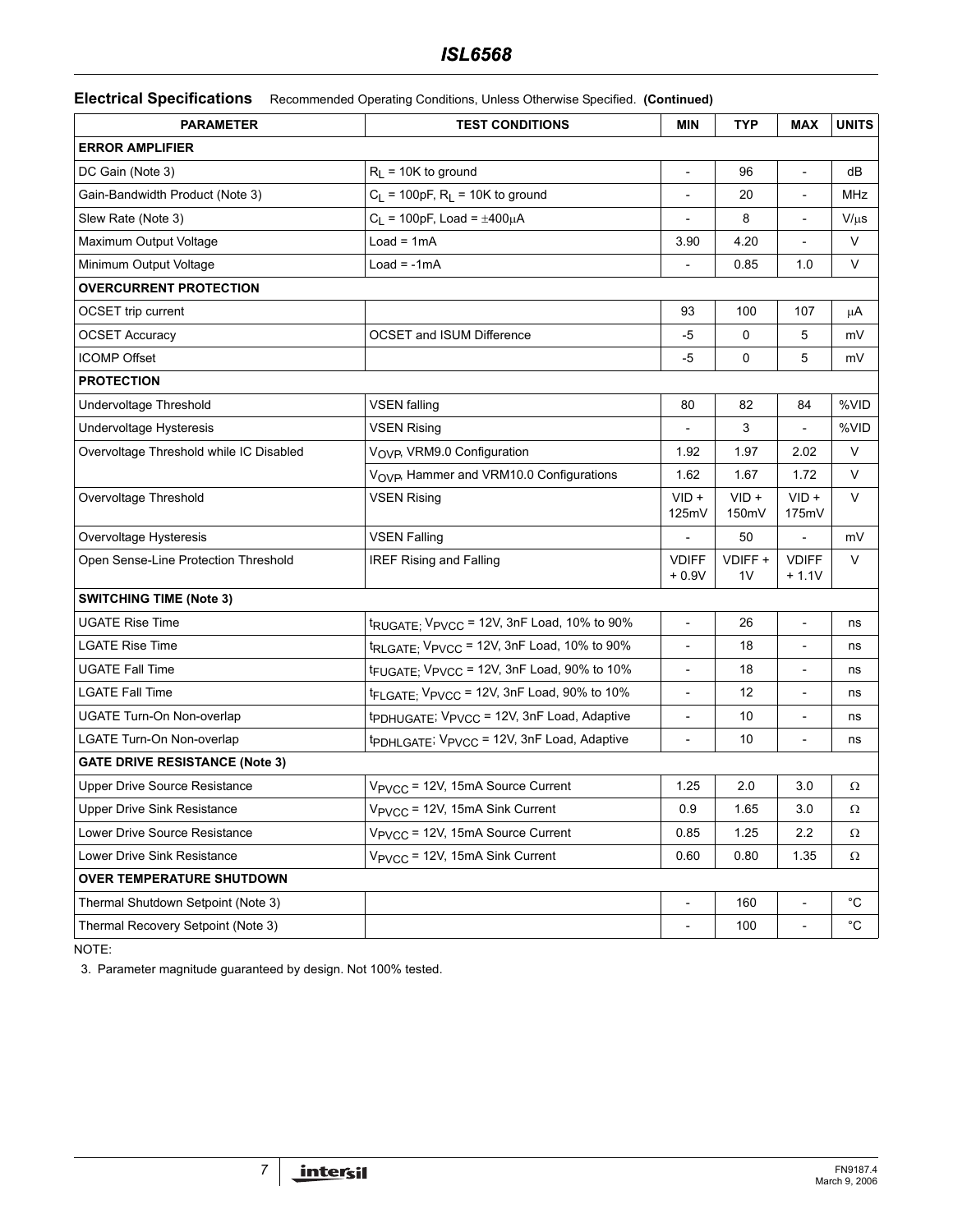## *ISL6568*

**Electrical Specifications** Recommended Operating Conditions, Unless Otherwise Specified. **(Continued)**

| <b>PARAMETER</b>                        | <b>TEST CONDITIONS</b>                                             | <b>MIN</b>                   | <b>TYP</b>                | <b>MAX</b>               | <b>UNITS</b> |
|-----------------------------------------|--------------------------------------------------------------------|------------------------------|---------------------------|--------------------------|--------------|
| <b>ERROR AMPLIFIER</b>                  |                                                                    |                              |                           |                          |              |
| DC Gain (Note 3)                        | $R_L$ = 10K to ground                                              | $\overline{\phantom{a}}$     | 96                        | $\overline{\phantom{a}}$ | dB           |
| Gain-Bandwidth Product (Note 3)         | $C_L$ = 100pF, $R_L$ = 10K to ground                               |                              | 20                        | $\overline{a}$           | MHz          |
| Slew Rate (Note 3)                      | $C_L$ = 100pF, Load = $\pm 400 \mu A$                              |                              | 8                         |                          | $V/\mu s$    |
| Maximum Output Voltage                  | $Load = 1mA$                                                       | 3.90                         | 4.20                      |                          | V            |
| Minimum Output Voltage                  | $Load = -1mA$                                                      |                              | 0.85                      | 1.0                      | $\vee$       |
| <b>OVERCURRENT PROTECTION</b>           |                                                                    |                              |                           |                          |              |
| OCSET trip current                      |                                                                    | 93                           | 100                       | 107                      | μA           |
| <b>OCSET Accuracy</b>                   | OCSET and ISUM Difference                                          | -5                           | 0                         | 5                        | mV           |
| <b>ICOMP Offset</b>                     |                                                                    | $-5$                         | 0                         | 5                        | mV           |
| <b>PROTECTION</b>                       |                                                                    |                              |                           |                          |              |
| Undervoltage Threshold                  | <b>VSEN falling</b>                                                | 80                           | 82                        | 84                       | %VID         |
| Undervoltage Hysteresis                 | <b>VSEN Rising</b>                                                 |                              | 3                         |                          | %VID         |
| Overvoltage Threshold while IC Disabled | V <sub>OVP</sub> , VRM9.0 Configuration                            | 1.92                         | 1.97                      | 2.02                     | V            |
|                                         | VOVP, Hammer and VRM10.0 Configurations                            | 1.62                         | 1.67                      | 1.72                     | V            |
| Overvoltage Threshold                   | <b>VSEN Rising</b>                                                 | $VID +$<br>125mV             | $VID +$<br>150mV          | $VID +$<br>175mV         | V            |
| Overvoltage Hysteresis                  | <b>VSEN Falling</b>                                                |                              | 50                        |                          | mV           |
| Open Sense-Line Protection Threshold    | <b>IREF Rising and Falling</b>                                     | <b>VDIFF</b><br>$+0.9V$      | VDIFF +<br>1 <sub>V</sub> | <b>VDIFF</b><br>$+1.1V$  | V            |
| <b>SWITCHING TIME (Note 3)</b>          |                                                                    |                              |                           |                          |              |
| <b>UGATE Rise Time</b>                  | t <sub>RUGATE;</sub> V <sub>PVCC</sub> = 12V, 3nF Load, 10% to 90% | $\qquad \qquad \blacksquare$ | 26                        |                          | ns           |
| <b>LGATE Rise Time</b>                  | t <sub>RLGATE;</sub> V <sub>PVCC</sub> = 12V, 3nF Load, 10% to 90% | $\qquad \qquad \blacksquare$ | 18                        | $\overline{a}$           | ns           |
| <b>UGATE Fall Time</b>                  | t <sub>FUGATE;</sub> V <sub>PVCC</sub> = 12V, 3nF Load, 90% to 10% | $\qquad \qquad -$            | 18                        |                          | ns           |
| <b>LGATE Fall Time</b>                  | tFLGATE; VPVCC = 12V, 3nF Load, 90% to 10%                         | $\overline{\phantom{a}}$     | 12                        | ÷,                       | ns           |
| UGATE Turn-On Non-overlap               | tpDHUGATE; VPVCC = 12V, 3nF Load, Adaptive                         |                              | 10                        |                          | ns           |
| LGATE Turn-On Non-overlap               | tpDHLGATE; VPVCC = 12V, 3nF Load, Adaptive                         | $\qquad \qquad \blacksquare$ | 10                        | $\overline{a}$           | ns           |
| <b>GATE DRIVE RESISTANCE (Note 3)</b>   |                                                                    |                              |                           |                          |              |
| Upper Drive Source Resistance           | V <sub>PVCC</sub> = 12V, 15mA Source Current                       | 1.25                         | 2.0                       | 3.0                      | Ω            |
| Upper Drive Sink Resistance             | V <sub>PVCC</sub> = 12V, 15mA Sink Current                         | 0.9                          | 1.65                      | $3.0\,$                  | Ω            |
| Lower Drive Source Resistance           | V <sub>PVCC</sub> = 12V, 15mA Source Current                       | 0.85                         | 1.25                      | 2.2                      | Ω            |
| Lower Drive Sink Resistance             | V <sub>PVCC</sub> = 12V, 15mA Sink Current                         | 0.60                         | 0.80                      | 1.35                     | $\Omega$     |
| <b>OVER TEMPERATURE SHUTDOWN</b>        |                                                                    |                              |                           |                          |              |
| Thermal Shutdown Setpoint (Note 3)      |                                                                    |                              | 160                       |                          | °C           |
| Thermal Recovery Setpoint (Note 3)      |                                                                    |                              | 100                       | $\overline{\phantom{a}}$ | $^{\circ}$ C |

NOTE:

3. Parameter magnitude guaranteed by design. Not 100% tested.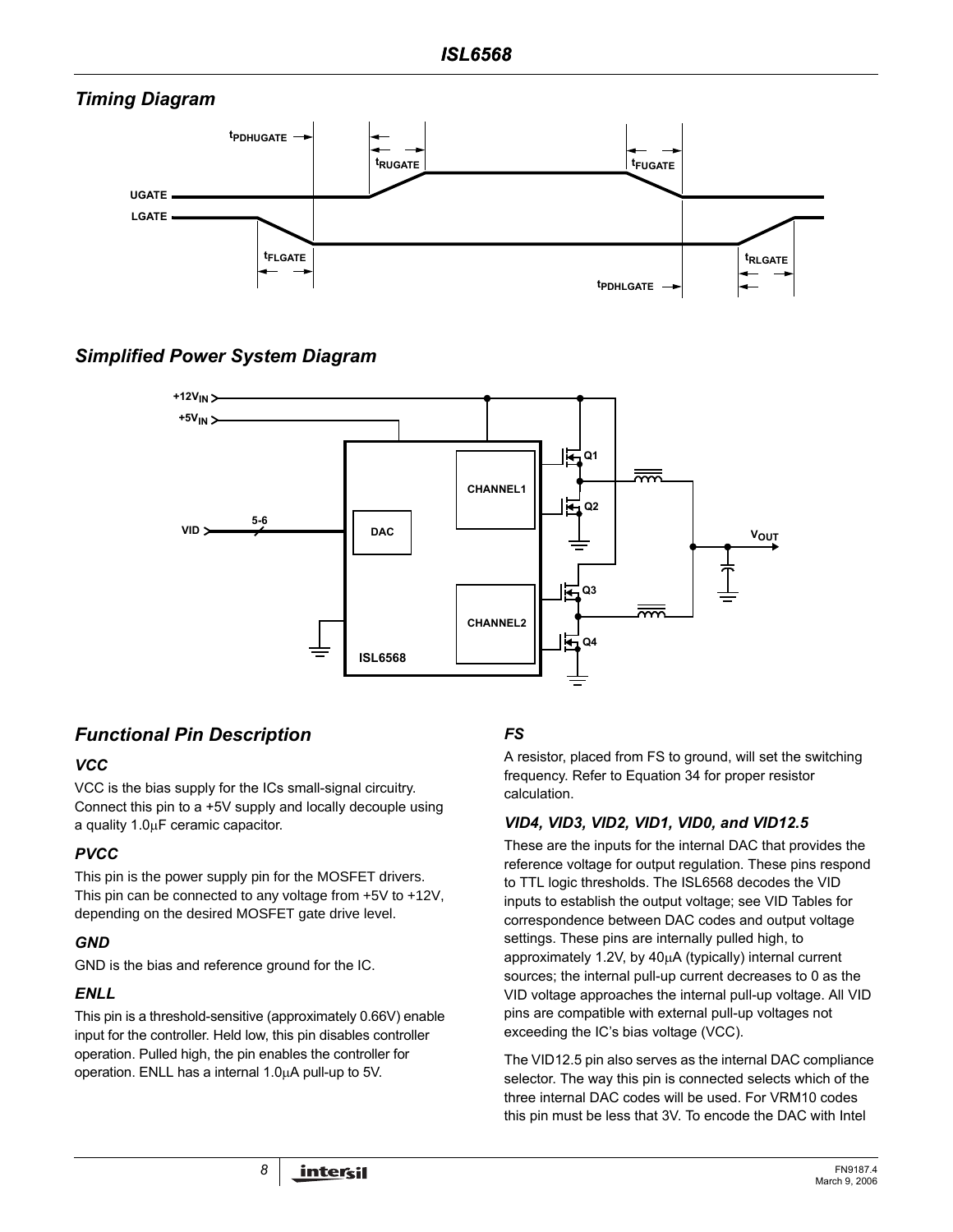# *Timing Diagram*



# *Simplified Power System Diagram*



# *Functional Pin Description*

## *VCC*

VCC is the bias supply for the ICs small-signal circuitry. Connect this pin to a +5V supply and locally decouple using a quality 1.0µF ceramic capacitor.

## *PVCC*

This pin is the power supply pin for the MOSFET drivers. This pin can be connected to any voltage from +5V to +12V, depending on the desired MOSFET gate drive level.

## *GND*

GND is the bias and reference ground for the IC.

### *ENLL*

This pin is a threshold-sensitive (approximately 0.66V) enable input for the controller. Held low, this pin disables controller operation. Pulled high, the pin enables the controller for operation. ENLL has a internal 1.0µA pull-up to 5V.

# *FS*

A resistor, placed from FS to ground, will set the switching frequency. Refer to Equation 34 for proper resistor calculation.

## *VID4, VID3, VID2, VID1, VID0, and VID12.5*

These are the inputs for the internal DAC that provides the reference voltage for output regulation. These pins respond to TTL logic thresholds. The ISL6568 decodes the VID inputs to establish the output voltage; see VID Tables for correspondence between DAC codes and output voltage settings. These pins are internally pulled high, to approximately 1.2V, by 40µA (typically) internal current sources; the internal pull-up current decreases to 0 as the VID voltage approaches the internal pull-up voltage. All VID pins are compatible with external pull-up voltages not exceeding the IC's bias voltage (VCC).

The VID12.5 pin also serves as the internal DAC compliance selector. The way this pin is connected selects which of the three internal DAC codes will be used. For VRM10 codes this pin must be less that 3V. To encode the DAC with Intel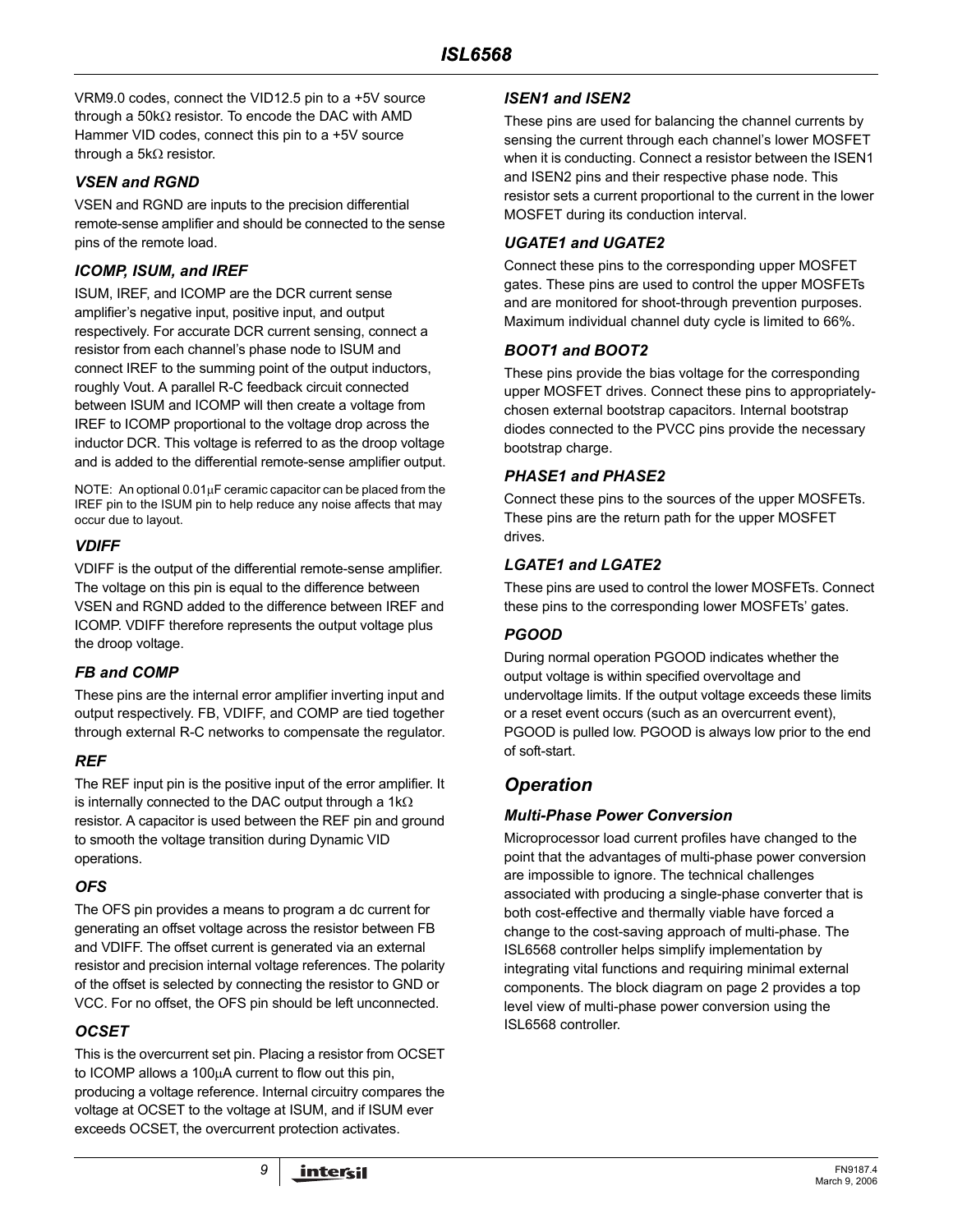VRM9.0 codes, connect the VID12.5 pin to a +5V source through a 50kΩ resistor. To encode the DAC with AMD Hammer VID codes, connect this pin to a +5V source through a 5kΩ resistor.

#### *VSEN and RGND*

VSEN and RGND are inputs to the precision differential remote-sense amplifier and should be connected to the sense pins of the remote load.

### *ICOMP, ISUM, and IREF*

ISUM, IREF, and ICOMP are the DCR current sense amplifier's negative input, positive input, and output respectively. For accurate DCR current sensing, connect a resistor from each channel's phase node to ISUM and connect IREF to the summing point of the output inductors, roughly Vout. A parallel R-C feedback circuit connected between ISUM and ICOMP will then create a voltage from IREF to ICOMP proportional to the voltage drop across the inductor DCR. This voltage is referred to as the droop voltage and is added to the differential remote-sense amplifier output.

NOTE: An optional 0.01µF ceramic capacitor can be placed from the IREF pin to the ISUM pin to help reduce any noise affects that may occur due to layout.

### *VDIFF*

VDIFF is the output of the differential remote-sense amplifier. The voltage on this pin is equal to the difference between VSEN and RGND added to the difference between IREF and ICOMP. VDIFF therefore represents the output voltage plus the droop voltage.

### *FB and COMP*

These pins are the internal error amplifier inverting input and output respectively. FB, VDIFF, and COMP are tied together through external R-C networks to compensate the regulator.

#### *REF*

The REF input pin is the positive input of the error amplifier. It is internally connected to the DAC output through a 1kΩ resistor. A capacitor is used between the REF pin and ground to smooth the voltage transition during Dynamic VID operations.

### *OFS*

The OFS pin provides a means to program a dc current for generating an offset voltage across the resistor between FB and VDIFF. The offset current is generated via an external resistor and precision internal voltage references. The polarity of the offset is selected by connecting the resistor to GND or VCC. For no offset, the OFS pin should be left unconnected.

### *OCSET*

This is the overcurrent set pin. Placing a resistor from OCSET to ICOMP allows a 100µA current to flow out this pin, producing a voltage reference. Internal circuitry compares the voltage at OCSET to the voltage at ISUM, and if ISUM ever exceeds OCSET, the overcurrent protection activates.

#### *ISEN1 and ISEN2*

These pins are used for balancing the channel currents by sensing the current through each channel's lower MOSFET when it is conducting. Connect a resistor between the ISEN1 and ISEN2 pins and their respective phase node. This resistor sets a current proportional to the current in the lower MOSFET during its conduction interval.

### *UGATE1 and UGATE2*

Connect these pins to the corresponding upper MOSFET gates. These pins are used to control the upper MOSFETs and are monitored for shoot-through prevention purposes. Maximum individual channel duty cycle is limited to 66%.

### *BOOT1 and BOOT2*

These pins provide the bias voltage for the corresponding upper MOSFET drives. Connect these pins to appropriatelychosen external bootstrap capacitors. Internal bootstrap diodes connected to the PVCC pins provide the necessary bootstrap charge.

#### *PHASE1 and PHASE2*

Connect these pins to the sources of the upper MOSFETs. These pins are the return path for the upper MOSFET drives.

### *LGATE1 and LGATE2*

These pins are used to control the lower MOSFETs. Connect these pins to the corresponding lower MOSFETs' gates.

#### *PGOOD*

During normal operation PGOOD indicates whether the output voltage is within specified overvoltage and undervoltage limits. If the output voltage exceeds these limits or a reset event occurs (such as an overcurrent event), PGOOD is pulled low. PGOOD is always low prior to the end of soft-start.

## *Operation*

### *Multi-Phase Power Conversion*

Microprocessor load current profiles have changed to the point that the advantages of multi-phase power conversion are impossible to ignore. The technical challenges associated with producing a single-phase converter that is both cost-effective and thermally viable have forced a change to the cost-saving approach of multi-phase. The ISL6568 controller helps simplify implementation by integrating vital functions and requiring minimal external components. The block diagram on page 2 provides a top level view of multi-phase power conversion using the ISL6568 controller.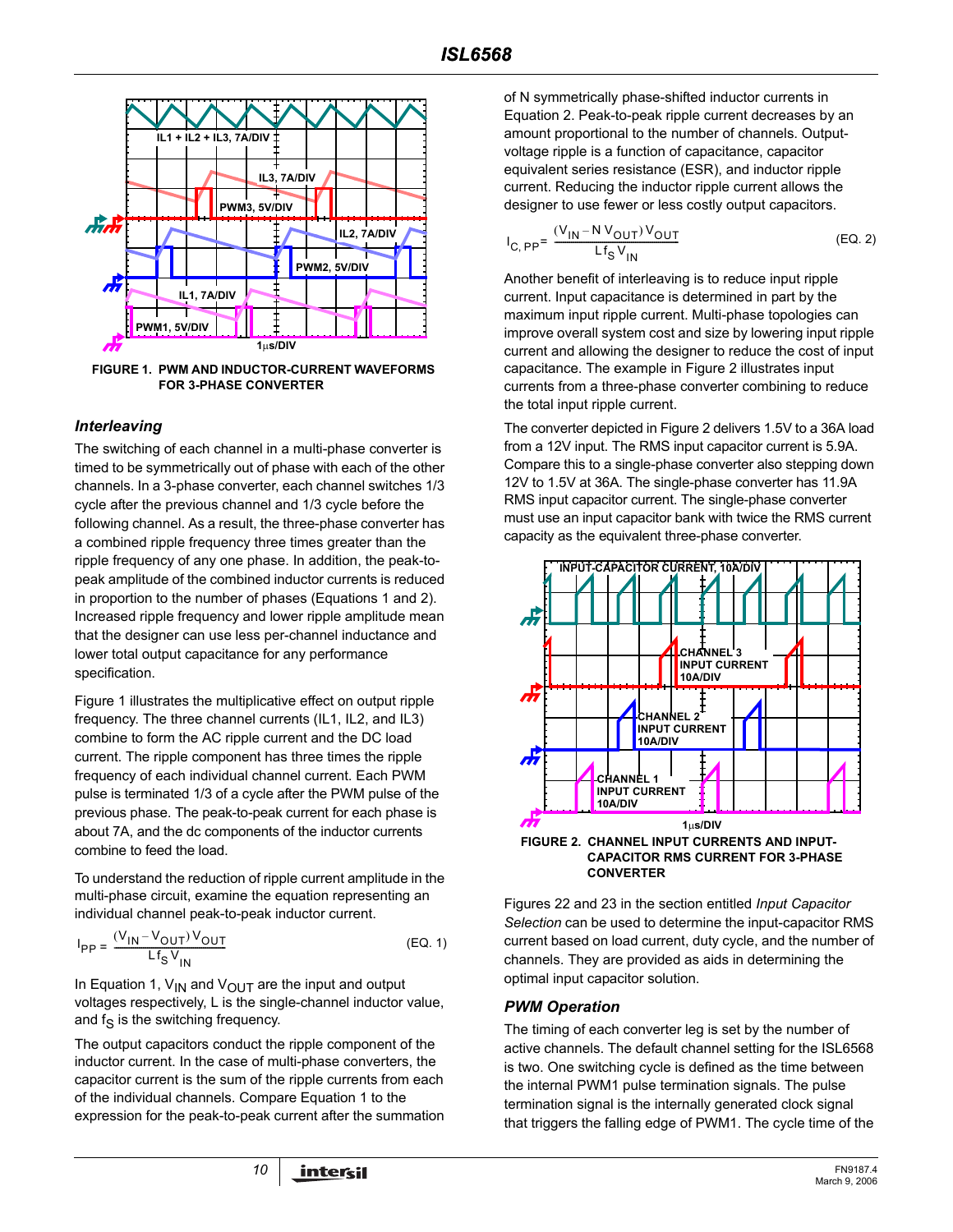

**FIGURE 1. PWM AND INDUCTOR-CURRENT WAVEFORMS FOR 3-PHASE CONVERTER**

#### <span id="page-9-0"></span>*Interleaving*

The switching of each channel in a multi-phase converter is timed to be symmetrically out of phase with each of the other channels. In a 3-phase converter, each channel switches 1/3 cycle after the previous channel and 1/3 cycle before the following channel. As a result, the three-phase converter has a combined ripple frequency three times greater than the ripple frequency of any one phase. In addition, the peak-topeak amplitude of the combined inductor currents is reduced in proportion to the number of phases (Equations 1 and 2). Increased ripple frequency and lower ripple amplitude mean that the designer can use less per-channel inductance and lower total output capacitance for any performance specification.

Figure 1 illustrates the multiplicative effect on output ripple frequency. The three channel currents (IL1, IL2, and IL3) combine to form the AC ripple current and the DC load current. The ripple component has three times the ripple frequency of each individual channel current. Each PWM pulse is terminated 1/3 of a cycle after the PWM pulse of the previous phase. The peak-to-peak current for each phase is about 7A, and the dc components of the inductor currents combine to feed the load.

To understand the reduction of ripple current amplitude in the multi-phase circuit, examine the equation representing an individual channel peak-to-peak inductor current.

$$
I_{PP} = \frac{(V_{IN} - V_{OUT})V_{OUT}}{Lf_S V_{IN}}
$$
 (EQ. 1)

In Equation 1,  $V_{IN}$  and  $V_{OUT}$  are the input and output voltages respectively, L is the single-channel inductor value, and  $f_S$  is the switching frequency.

The output capacitors conduct the ripple component of the inductor current. In the case of multi-phase converters, the capacitor current is the sum of the ripple currents from each of the individual channels. Compare Equation 1 to the expression for the peak-to-peak current after the summation of N symmetrically phase-shifted inductor currents in Equation 2. Peak-to-peak ripple current decreases by an amount proportional to the number of channels. Outputvoltage ripple is a function of capacitance, capacitor equivalent series resistance (ESR), and inductor ripple current. Reducing the inductor ripple current allows the designer to use fewer or less costly output capacitors.

$$
I_{C, PP} = \frac{(V_{IN} - NV_{OUT})V_{OUT}}{Lf_S V_{IN}}
$$
 (EQ. 2)

Another benefit of interleaving is to reduce input ripple current. Input capacitance is determined in part by the maximum input ripple current. Multi-phase topologies can improve overall system cost and size by lowering input ripple current and allowing the designer to reduce the cost of input capacitance. The example in Figure 2 illustrates input currents from a three-phase converter combining to reduce the total input ripple current.

The converter depicted in Figure 2 delivers 1.5V to a 36A load from a 12V input. The RMS input capacitor current is 5.9A. Compare this to a single-phase converter also stepping down 12V to 1.5V at 36A. The single-phase converter has 11.9A RMS input capacitor current. The single-phase converter must use an input capacitor bank with twice the RMS current capacity as the equivalent three-phase converter.



**CAPACITOR RMS CURRENT FOR 3-PHASE CONVERTER**

Figures 22 and 23 in the section entitled *Input Capacitor Selection* can be used to determine the input-capacitor RMS current based on load current, duty cycle, and the number of channels. They are provided as aids in determining the optimal input capacitor solution.

#### *PWM Operation*

The timing of each converter leg is set by the number of active channels. The default channel setting for the ISL6568 is two. One switching cycle is defined as the time between the internal PWM1 pulse termination signals. The pulse termination signal is the internally generated clock signal that triggers the falling edge of PWM1. The cycle time of the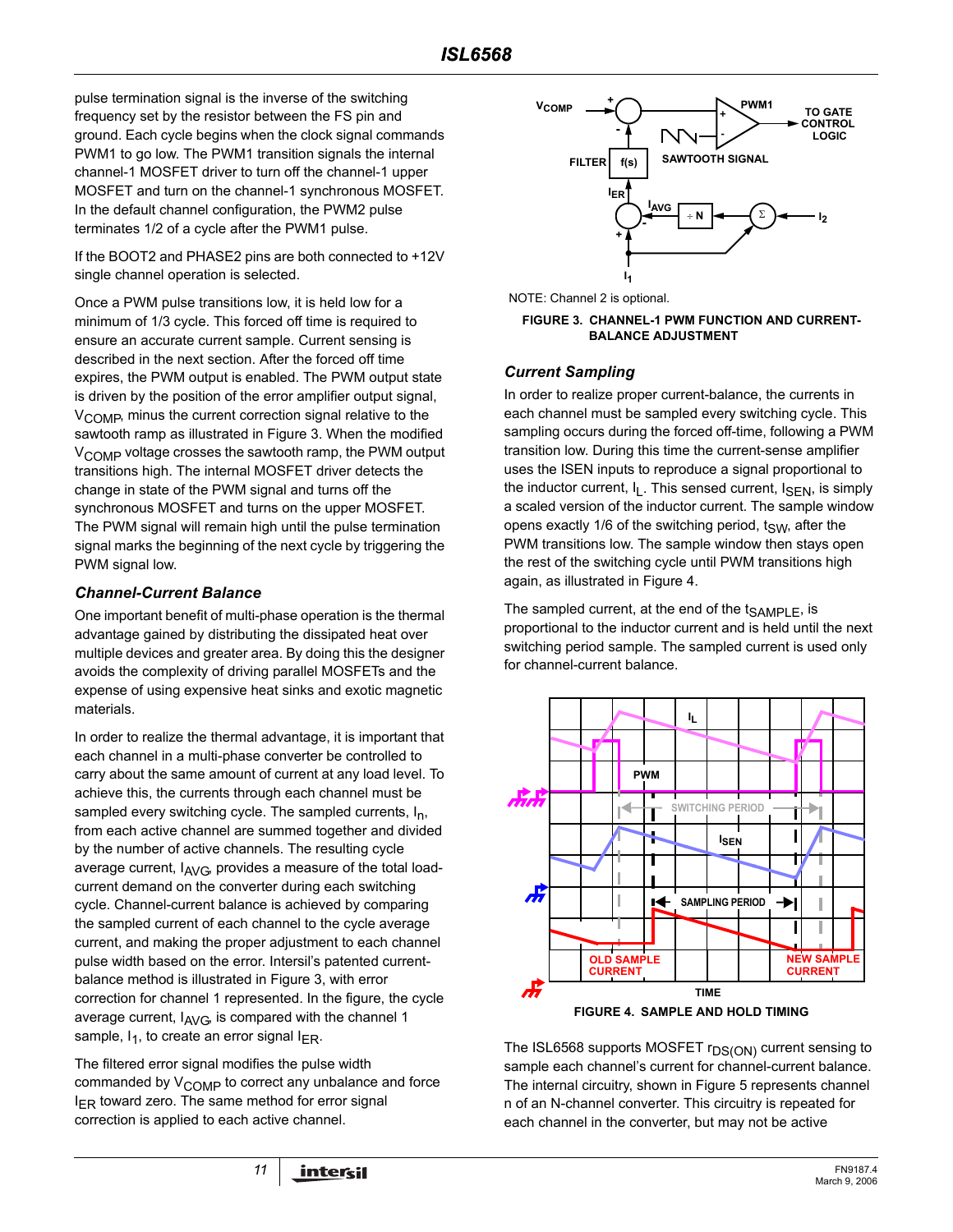pulse termination signal is the inverse of the switching frequency set by the resistor between the FS pin and ground. Each cycle begins when the clock signal commands PWM1 to go low. The PWM1 transition signals the internal channel-1 MOSFET driver to turn off the channel-1 upper MOSFET and turn on the channel-1 synchronous MOSFET. In the default channel configuration, the PWM2 pulse terminates 1/2 of a cycle after the PWM1 pulse.

If the BOOT2 and PHASE2 pins are both connected to +12V single channel operation is selected.

Once a PWM pulse transitions low, it is held low for a minimum of 1/3 cycle. This forced off time is required to ensure an accurate current sample. Current sensing is described in the next section. After the forced off time expires, the PWM output is enabled. The PWM output state is driven by the position of the error amplifier output signal, V<sub>COMP</sub>, minus the current correction signal relative to the sawtooth ramp as illustrated in Figure 3. When the modified V<sub>COMP</sub> voltage crosses the sawtooth ramp, the PWM output transitions high. The internal MOSFET driver detects the change in state of the PWM signal and turns off the synchronous MOSFET and turns on the upper MOSFET. The PWM signal will remain high until the pulse termination signal marks the beginning of the next cycle by triggering the PWM signal low.

#### <span id="page-10-0"></span>*Channel-Current Balance*

One important benefit of multi-phase operation is the thermal advantage gained by distributing the dissipated heat over multiple devices and greater area. By doing this the designer avoids the complexity of driving parallel MOSFETs and the expense of using expensive heat sinks and exotic magnetic materials.

In order to realize the thermal advantage, it is important that each channel in a multi-phase converter be controlled to carry about the same amount of current at any load level. To achieve this, the currents through each channel must be sampled every switching cycle. The sampled currents,  $I_n$ , from each active channel are summed together and divided by the number of active channels. The resulting cycle average current,  $I_{AVG}$ , provides a measure of the total loadcurrent demand on the converter during each switching cycle. Channel-current balance is achieved by comparing the sampled current of each channel to the cycle average current, and making the proper adjustment to each channel pulse width based on the error. Intersil's patented currentbalance method is illustrated in Figure 3, with error correction for channel 1 represented. In the figure, the cycle average current,  $I_{AVG}$ , is compared with the channel 1 sample,  $I_1$ , to create an error signal  $I_{FR}$ .

The filtered error signal modifies the pulse width commanded by  $V_{\text{COMP}}$  to correct any unbalance and force  $I_{FR}$  toward zero. The same method for error signal correction is applied to each active channel.



NOTE: Channel 2 is optional.

#### **FIGURE 3. CHANNEL-1 PWM FUNCTION AND CURRENT-BALANCE ADJUSTMENT**

#### *Current Sampling*

In order to realize proper current-balance, the currents in each channel must be sampled every switching cycle. This sampling occurs during the forced off-time, following a PWM transition low. During this time the current-sense amplifier uses the ISEN inputs to reproduce a signal proportional to the inductor current,  $I_1$ . This sensed current,  $I_{\text{SFN}}$ , is simply a scaled version of the inductor current. The sample window opens exactly 1/6 of the switching period,  $t_{SW}$ , after the PWM transitions low. The sample window then stays open the rest of the switching cycle until PWM transitions high again, as illustrated in Figure 4.

The sampled current, at the end of the  $t_{SAMPL}$ , is proportional to the inductor current and is held until the next switching period sample. The sampled current is used only for channel-current balance.



The ISL6568 supports MOSFET r<sub>DS(ON)</sub> current sensing to sample each channel's current for channel-current balance. The internal circuitry, shown in Figure 5 represents channel n of an N-channel converter. This circuitry is repeated for each channel in the converter, but may not be active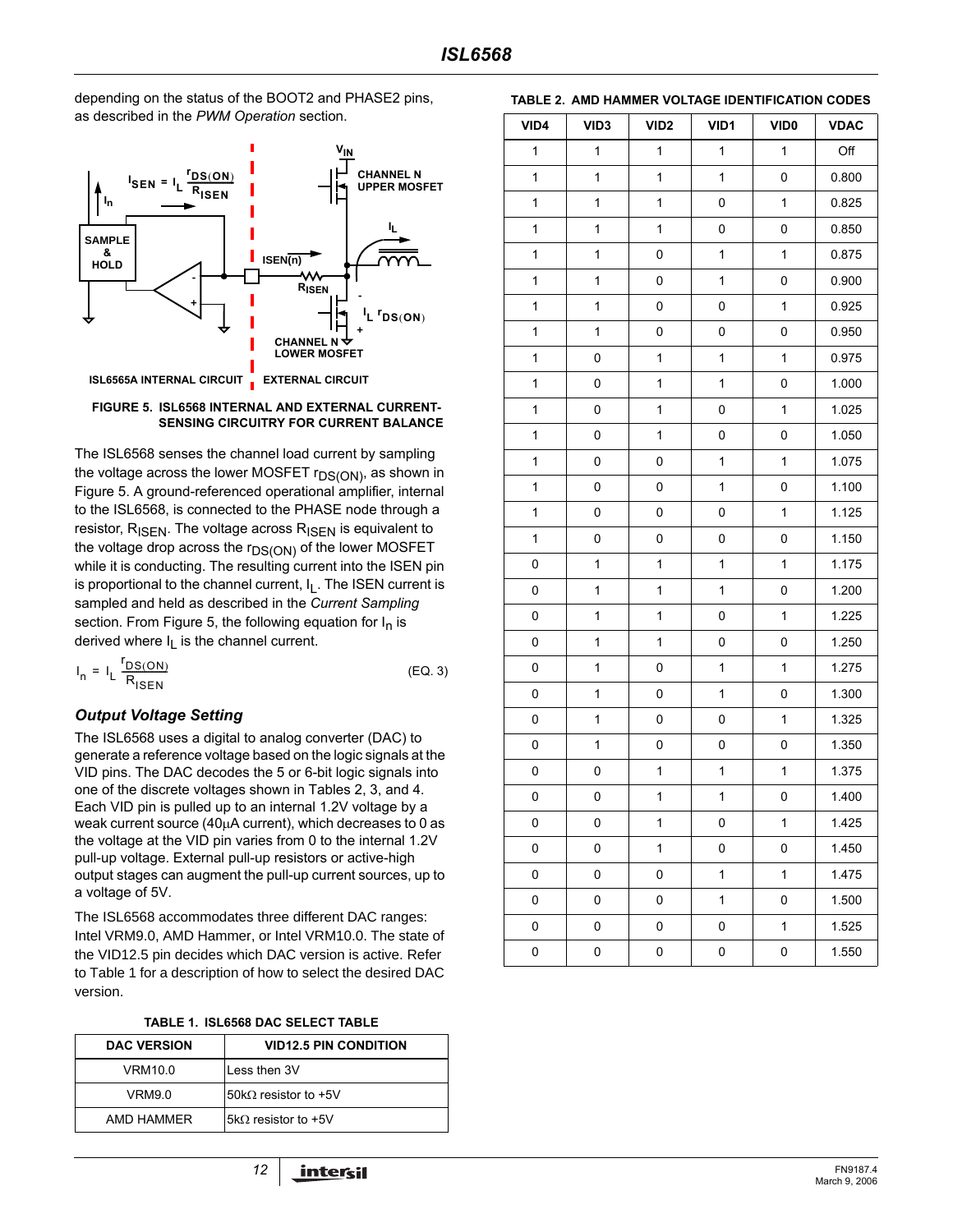depending on the status of the BOOT2 and PHASE2 pins, as described in the *PWM Operation* section.



#### **FIGURE 5. ISL6568 INTERNAL AND EXTERNAL CURRENT-SENSING CIRCUITRY FOR CURRENT BALANCE**

The ISL6568 senses the channel load current by sampling the voltage across the lower MOSFET  $r_{DS(ON)}$ , as shown in Figure 5. A ground-referenced operational amplifier, internal to the ISL6568, is connected to the PHASE node through a resistor,  $R_{\text{ISEN}}$ . The voltage across  $R_{\text{ISEN}}$  is equivalent to the voltage drop across the  $r_{DS(ON)}$  of the lower MOSFET while it is conducting. The resulting current into the ISEN pin is proportional to the channel current,  $I<sub>L</sub>$ . The ISEN current is sampled and held as described in the *Current Sampling* section. From Figure 5, the following equation for  $I_n$  is derived where  $I_1$  is the channel current.

$$
I_n = I_L \frac{r_{DS(ON)}}{R_{ISEN}}
$$
 (EQ. 3)

### *Output Voltage Setting*

The ISL6568 uses a digital to analog converter (DAC) to generate a reference voltage based on the logic signals at the VID pins. The DAC decodes the 5 or 6-bit logic signals into one of the discrete voltages shown in Tables 2, 3, and 4. Each VID pin is pulled up to an internal 1.2V voltage by a weak current source (40µA current), which decreases to 0 as the voltage at the VID pin varies from 0 to the internal 1.2V pull-up voltage. External pull-up resistors or active-high output stages can augment the pull-up current sources, up to a voltage of 5V.

. The ISL6568 accommodates three different DAC ranges: Intel VRM9.0, AMD Hammer, or Intel VRM10.0. The state of the VID12.5 pin decides which DAC version is active. Refer to Table 1 for a description of how to select the desired DAC version.

| TABLE 1. ISL6568 DAC SELECT TABLE |  |  |
|-----------------------------------|--|--|
|-----------------------------------|--|--|

| <b>DAC VERSION</b> | <b>VID12.5 PIN CONDITION</b> |
|--------------------|------------------------------|
| VRM10.0            | Less then 3V                 |
| VRM9.0             | 50kΩ resistor to +5V         |
| AMD HAMMER         | 5k $\Omega$ resistor to +5V  |

| VID4         | VID <sub>3</sub> | VID <sub>2</sub> | VID1         | VID <sub>0</sub> | <b>VDAC</b> |
|--------------|------------------|------------------|--------------|------------------|-------------|
| 1            | $\mathbf{1}$     | $\mathbf{1}$     | $\mathbf{1}$ | $\mathbf{1}$     | Off         |
| $\mathbf{1}$ | $\mathbf{1}$     | $\mathbf{1}$     | $\mathbf{1}$ | 0                | 0.800       |
| 1            | $\mathbf 1$      | $\mathbf{1}$     | 0            | $\mathbf{1}$     | 0.825       |
| 1            | $\mathbf{1}$     | $\mathbf{1}$     | 0            | 0                | 0.850       |
| 1            | $\mathbf 1$      | 0                | $\mathbf{1}$ | 1                | 0.875       |
| $\mathbf{1}$ | $\mathbf{1}$     | 0                | $\mathbf{1}$ | 0                | 0.900       |
| 1            | $\mathbf{1}$     | 0                | 0            | $\mathbf{1}$     | 0.925       |
| 1            | $\mathbf{1}$     | 0                | $\mathsf 0$  | 0                | 0.950       |
| 1            | 0                | $\mathbf{1}$     | $\mathbf{1}$ | 1                | 0.975       |
| $\mathbf{1}$ | 0                | $\mathbf{1}$     | $\mathbf{1}$ | 0                | 1.000       |
| 1            | 0                | $\mathbf{1}$     | 0            | $\mathbf 1$      | 1.025       |
| $\mathbf{1}$ | $\mathsf 0$      | $\mathbf{1}$     | $\mathsf 0$  | 0                | 1.050       |
| $\mathbf{1}$ | 0                | 0                | $\mathbf{1}$ | 1                | 1.075       |
| 1            | 0                | 0                | $\mathbf{1}$ | 0                | 1.100       |
| $\mathbf{1}$ | 0                | 0                | $\mathsf 0$  | $\mathbf 1$      | 1.125       |
| $\mathbf{1}$ | 0                | 0                | 0            | 0                | 1.150       |
| 0            | $\mathbf{1}$     | $\mathbf{1}$     | $\mathbf{1}$ | $\mathbf{1}$     | 1.175       |
| 0            | $\mathbf 1$      | $\mathbf{1}$     | $\mathbf{1}$ | 0                | 1.200       |
| 0            | $\mathbf{1}$     | $\mathbf{1}$     | 0            | $\mathbf 1$      | 1.225       |
| 0            | $\mathbf{1}$     | $\mathbf{1}$     | 0            | 0                | 1.250       |
| 0            | $\mathbf{1}$     | 0                | $\mathbf{1}$ | $\mathbf{1}$     | 1.275       |
| 0            | $\mathbf 1$      | 0                | $\mathbf{1}$ | 0                | 1.300       |
| 0            | $\mathbf{1}$     | 0                | 0            | $\mathbf{1}$     | 1.325       |
| 0            | $\mathbf 1$      | 0                | 0            | 0                | 1.350       |
| 0            | 0                | $\mathbf{1}$     | $\mathbf{1}$ | 1                | 1.375       |
| 0            | 0                | 1                | 1            | 0                | 1.400       |
| 0            | 0                | $\mathbf{1}$     | 0            | 1                | 1.425       |
| 0            | 0                | $\mathbf{1}$     | 0            | 0                | 1.450       |
| 0            | 0                | 0                | $\mathbf{1}$ | $\mathbf 1$      | 1.475       |
| 0            | 0                | 0                | $\mathbf{1}$ | 0                | 1.500       |
| 0            | 0                | 0                | 0            | 1                | 1.525       |
| 0            | 0                | 0                | 0            | 0                | 1.550       |

#### **TABLE 2. AMD HAMMER VOLTAGE IDENTIFICATION CODES**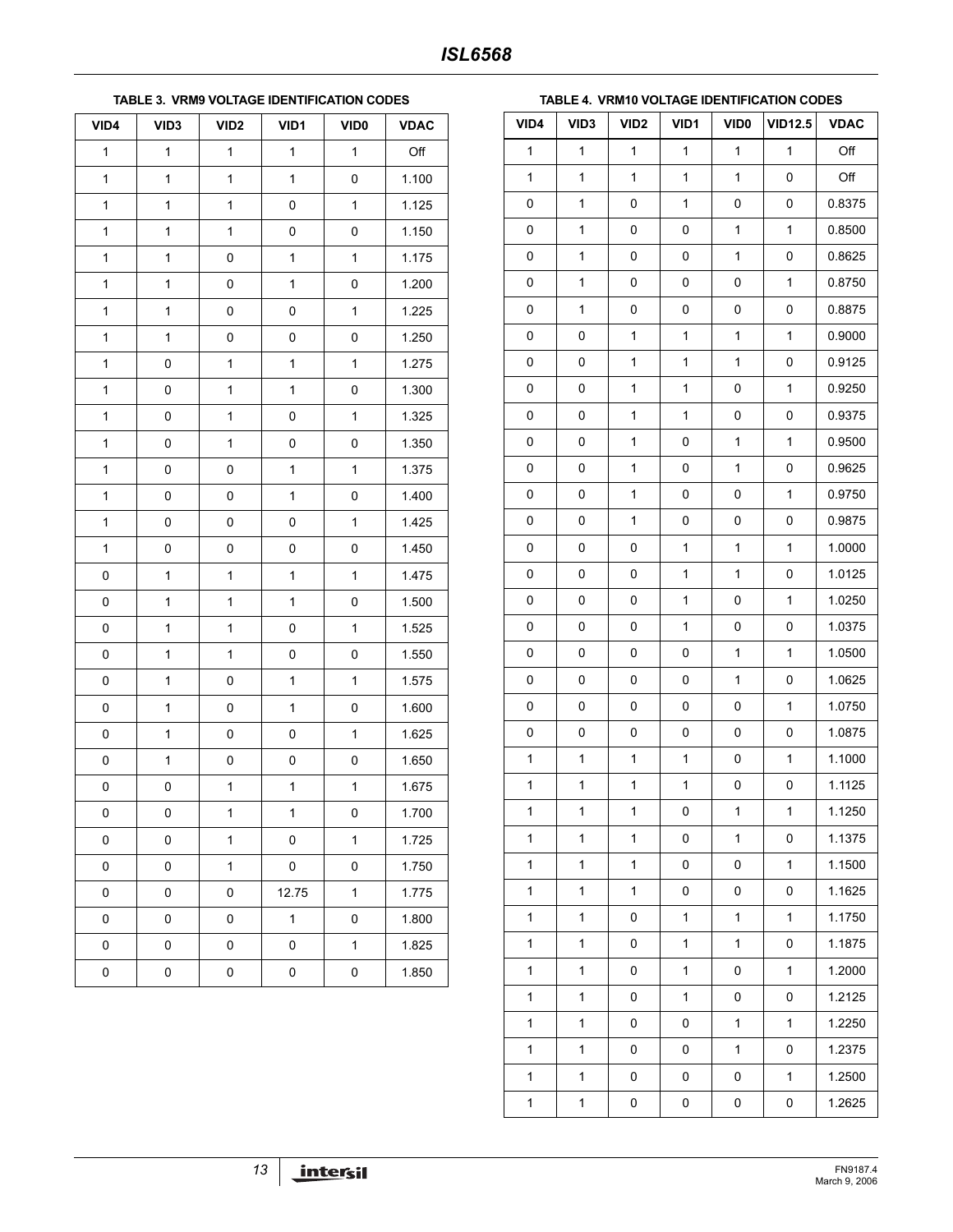#### **TABLE 3. VRM9 VOLTAGE IDENTIFICATION CODES**

| VID4         | VID <sub>3</sub> | VID <sub>2</sub> | VID1         | VID <sub>0</sub> | <b>VDAC</b> |
|--------------|------------------|------------------|--------------|------------------|-------------|
| $\mathbf{1}$ | $\mathbf{1}$     | $\mathbf 1$      | $\mathbf{1}$ | $\mathbf{1}$     | Off         |
| $\mathbf{1}$ | $\mathbf{1}$     | $\mathbf{1}$     | $\mathbf{1}$ | 0                | 1.100       |
| $\mathbf{1}$ | $\mathbf 1$      | $\mathbf{1}$     | 0            | $\mathbf 1$      | 1.125       |
| $\mathbf{1}$ | $\mathbf 1$      | $\mathbf{1}$     | 0            | 0                | 1.150       |
| $\mathbf{1}$ | $\mathbf{1}$     | 0                | $\mathbf{1}$ | $\mathbf 1$      | 1.175       |
| $\mathbf{1}$ | $\mathbf 1$      | 0                | $\mathbf{1}$ | 0                | 1.200       |
| $\mathbf 1$  | $\mathbf 1$      | 0                | 0            | $\mathbf 1$      | 1.225       |
| $\mathbf{1}$ | $\mathbf 1$      | 0                | 0            | 0                | 1.250       |
| $\mathbf{1}$ | 0                | $\mathbf{1}$     | $\mathbf{1}$ | $\mathbf 1$      | 1.275       |
| $\mathbf{1}$ | $\pmb{0}$        | $\mathbf{1}$     | $\mathbf{1}$ | 0                | 1.300       |
| $\mathbf{1}$ | $\pmb{0}$        | $\mathbf{1}$     | 0            | $\mathbf 1$      | 1.325       |
| $\mathbf 1$  | 0                | $\mathbf{1}$     | 0            | 0                | 1.350       |
| 1            | 0                | 0                | $\mathbf{1}$ | 1                | 1.375       |
| 1            | $\pmb{0}$        | 0                | $\mathbf{1}$ | 0                | 1.400       |
| $\mathbf{1}$ | $\pmb{0}$        | 0                | 0            | $\mathbf 1$      | 1.425       |
| $\mathbf{1}$ | 0                | 0                | 0            | 0                | 1.450       |
| 0            | $\mathbf{1}$     | $\mathbf{1}$     | $\mathbf{1}$ | $\mathbf{1}$     | 1.475       |
| 0            | $\mathbf 1$      | $\mathbf{1}$     | $\mathbf{1}$ | 0                | 1.500       |
| 0            | 1                | $\mathbf{1}$     | 0            | 1                | 1.525       |
| 0            | $\mathbf 1$      | $\mathbf{1}$     | 0            | 0                | 1.550       |
| 0            | $\mathbf 1$      | 0                | $\mathbf{1}$ | $\mathbf 1$      | 1.575       |
| 0            | $\mathbf 1$      | 0                | $\mathbf{1}$ | 0                | 1.600       |
| 0            | $\mathbf 1$      | 0                | 0            | $\mathbf 1$      | 1.625       |
| 0            | $\mathbf 1$      | 0                | 0            | 0                | 1.650       |
| 0            | 0                | $\mathbf 1$      | $\mathbf{1}$ | $\mathbf{1}$     | 1.675       |
| 0            | 0                | 1                | 1            | 0                | 1.700       |
| 0            | 0                | $\mathbf{1}$     | 0            | $\mathbf 1$      | 1.725       |
| 0            | 0                | $\mathbf{1}$     | $\mathsf 0$  | 0                | 1.750       |
| 0            | $\mathsf 0$      | 0                | 12.75        | $\mathbf 1$      | 1.775       |
| 0            | 0                | 0                | $\mathbf{1}$ | 0                | 1.800       |
| 0            | 0                | 0                | 0            | $\mathbf 1$      | 1.825       |
| 0            | 0                | 0                | $\mathsf 0$  | 0                | 1.850       |

#### **TABLE 4. VRM10 VOLTAGE IDENTIFICATION CODES**

| VID4         | VID <sub>3</sub> | VID <sub>2</sub> | VID1         | <b>VID0</b>  | <b>VID12.5</b> | <b>VDAC</b> |
|--------------|------------------|------------------|--------------|--------------|----------------|-------------|
| $\mathbf 1$  | $\mathbf{1}$     | $\mathbf{1}$     | 1            | 1            | $\mathbf{1}$   | Off         |
| $\mathbf{1}$ | $\mathbf 1$      | 1                | 1            | 1            | 0              | Off         |
| 0            | $\mathbf{1}$     | 0                | 1            | 0            | 0              | 0.8375      |
| 0            | $\mathbf 1$      | 0                | 0            | 1            | 1              | 0.8500      |
| 0            | $\mathbf{1}$     | 0                | 0            | 1            | 0              | 0.8625      |
| 0            | $\mathbf{1}$     | 0                | 0            | 0            | 1              | 0.8750      |
| 0            | $\mathbf 1$      | 0                | 0            | 0            | 0              | 0.8875      |
| 0            | 0                | 1                | 1            | 1            | 1              | 0.9000      |
| 0            | 0                | 1                | 1            | 1            | 0              | 0.9125      |
| 0            | 0                | $\mathbf 1$      | 1            | 0            | $\mathbf{1}$   | 0.9250      |
| 0            | 0                | 1                | 1            | 0            | 0              | 0.9375      |
| 0            | 0                | 1                | 0            | $\mathbf{1}$ | $\mathbf{1}$   | 0.9500      |
| 0            | 0                | 1                | 0            | 1            | 0              | 0.9625      |
| 0            | 0                | 1                | 0            | 0            | $\mathbf{1}$   | 0.9750      |
| 0            | 0                | 1                | 0            | 0            | 0              | 0.9875      |
| 0            | 0                | 0                | 1            | 1            | 1              | 1.0000      |
| 0            | 0                | 0                | 1            | 1            | 0              | 1.0125      |
| 0            | 0                | 0                | 1            | 0            | 1              | 1.0250      |
| 0            | 0                | 0                | 1            | 0            | 0              | 1.0375      |
| 0            | 0                | 0                | 0            | 1            | 1              | 1.0500      |
| 0            | 0                | 0                | 0            | 1            | 0              | 1.0625      |
| 0            | 0                | 0                | 0            | 0            | $\mathbf{1}$   | 1.0750      |
| 0            | 0                | 0                | 0            | 0            | 0              | 1.0875      |
| $\mathbf{1}$ | $\mathbf 1$      | 1                | $\mathbf{1}$ | 0            | $\mathbf{1}$   | 1.1000      |
| $\mathbf{1}$ | $\mathbf 1$      | 1                | 1            | 0            | 0              | 1.1125      |
| 1            | 1                | 1                | 0            | 1            | 1              | 1.1250      |
| 1            | 1                | 1                | 0            | 1            | 0              | 1.1375      |
| 1            | 1                | 1                | 0            | 0            | 1              | 1.1500      |
| 1            | 1                | 1                | 0            | 0            | 0              | 1.1625      |
| 1            | $\mathbf 1$      | 0                | 1            | 1            | 1              | 1.1750      |
| 1            | 1                | 0                | 1            | 1            | 0              | 1.1875      |
| 1            | $\mathbf{1}$     | 0                | 1            | 0            | 1              | 1.2000      |
| 1            | 1                | 0                | 1            | 0            | 0              | 1.2125      |
| 1            | 1                | 0                | 0            | 1            | 1              | 1.2250      |
| 1            | 1                | 0                | 0            | 1            | 0              | 1.2375      |
| $\mathbf{1}$ | $\mathbf{1}$     | 0                | 0            | 0            | 1              | 1.2500      |
| 1            | 1                | 0                | 0            | 0            | 0              | 1.2625      |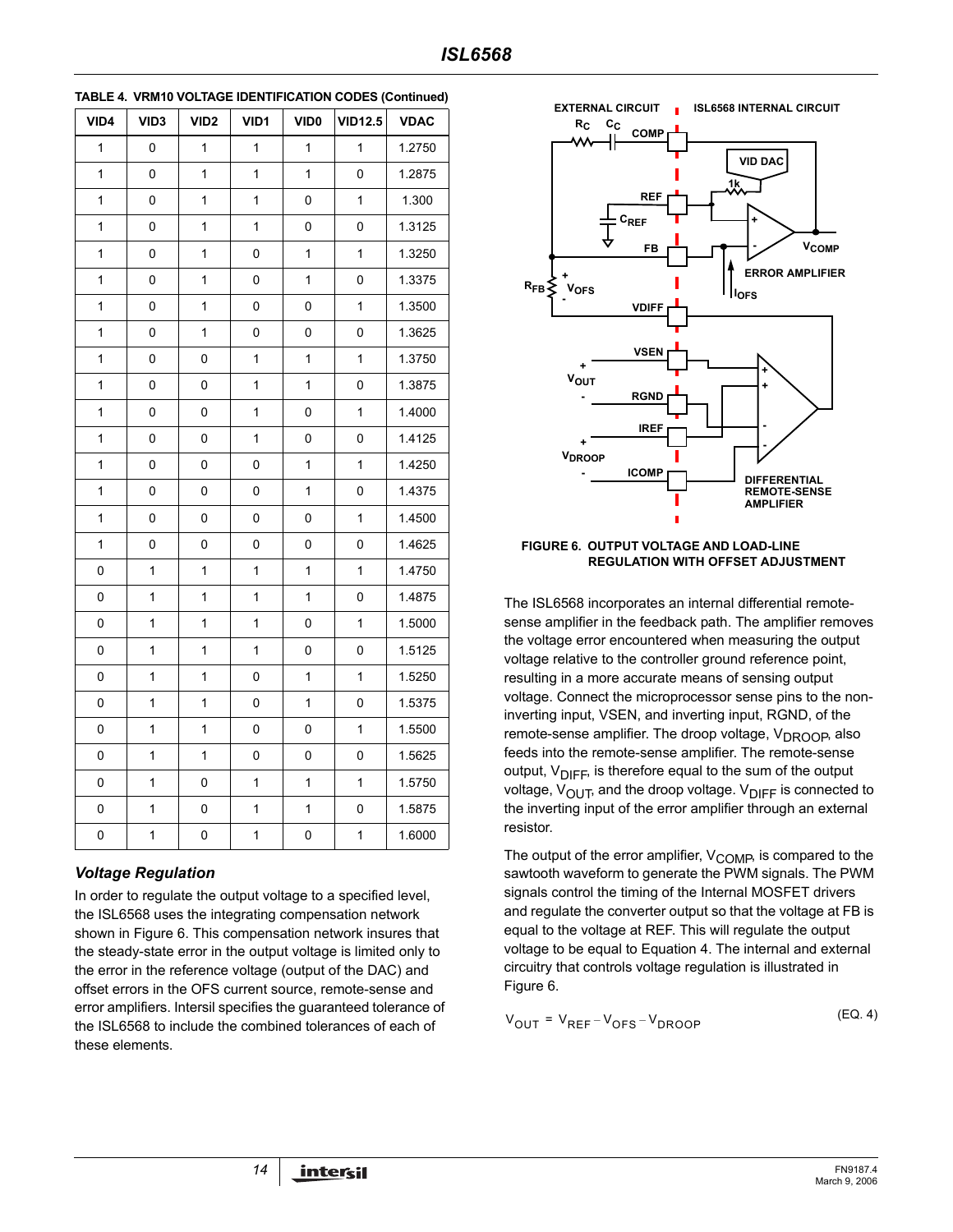| VID4         | VID <sub>3</sub> | VID <sub>2</sub> | VID1         | VID <sub>0</sub> | <b>VID12.5</b> | <b>VDAC</b> |
|--------------|------------------|------------------|--------------|------------------|----------------|-------------|
| $\mathbf{1}$ | 0                | $\mathbf{1}$     | 1            | $\mathbf{1}$     | $\mathbf{1}$   | 1.2750      |
| 1            | 0                | $\mathbf{1}$     | 1            | $\mathbf{1}$     | 0              | 1.2875      |
| 1            | 0                | 1                | 1            | 0                | 1              | 1.300       |
| 1            | 0                | $\mathbf{1}$     | 1            | 0                | 0              | 1.3125      |
| $\mathbf{1}$ | 0                | $\mathbf{1}$     | 0            | $\mathbf{1}$     | 1              | 1.3250      |
| 1            | 0                | 1                | 0            | 1                | 0              | 1.3375      |
| $\mathbf{1}$ | 0                | $\mathbf{1}$     | 0            | 0                | 1              | 1.3500      |
| $\mathbf{1}$ | 0                | $\mathbf{1}$     | 0            | 0                | 0              | 1.3625      |
| 1            | 0                | 0                | $\mathbf{1}$ | $\mathbf{1}$     | 1              | 1.3750      |
| $\mathbf{1}$ | $\mathsf 0$      | $\mathsf 0$      | 1            | $\mathbf{1}$     | 0              | 1.3875      |
| $\mathbf{1}$ | 0                | 0                | 1            | 0                | 1              | 1.4000      |
| 1            | 0                | 0                | $\mathbf{1}$ | 0                | 0              | 1.4125      |
| $\mathbf{1}$ | 0                | 0                | 0            | $\mathbf{1}$     | 1              | 1.4250      |
| 1            | 0                | 0                | 0            | 1                | 0              | 1.4375      |
| $\mathbf{1}$ | 0                | 0                | 0            | 0                | 1              | 1.4500      |
| 1            | 0                | 0                | 0            | 0                | 0              | 1.4625      |
| 0            | 1                | $\mathbf{1}$     | 1            | 1                | $\mathbf{1}$   | 1.4750      |
| 0            | $\mathbf{1}$     | $\mathbf 1$      | $\mathbf 1$  | $\mathbf{1}$     | 0              | 1.4875      |
| 0            | 1                | 1                | 1            | 0                | 1              | 1.5000      |
| 0            | 1                | 1                | 1            | 0                | 0              | 1.5125      |
| 0            | $\mathbf 1$      | $\mathbf{1}$     | 0            | $\mathbf 1$      | 1              | 1.5250      |
| 0            | 1                | 1                | 0            | 1                | 0              | 1.5375      |
| 0            | $\mathbf{1}$     | 1                | 0            | 0                | $\mathbf{1}$   | 1.5500      |
| 0            | 1                | $\mathbf{1}$     | 0            | 0                | 0              | 1.5625      |
| 0            | 1                | $\mathsf 0$      | 1            | $\mathbf 1$      | 1              | 1.5750      |
| 0            | 1                | $\pmb{0}$        | $\mathbf{1}$ | $\mathbf{1}$     | 0              | 1.5875      |
| 0            | 1                | 0                | $\mathbf{1}$ | 0                | $\mathbf 1$    | 1.6000      |

|  | TABLE 4. VRM10 VOLTAGE IDENTIFICATION CODES (Continued) |  |
|--|---------------------------------------------------------|--|
|--|---------------------------------------------------------|--|

## *Voltage Regulation*

In order to regulate the output voltage to a specified level, the ISL6568 uses the integrating compensation network shown in Figure 6. This compensation network insures that the steady-state error in the output voltage is limited only to the error in the reference voltage (output of the DAC) and offset errors in the OFS current source, remote-sense and error amplifiers. Intersil specifies the guaranteed tolerance of the ISL6568 to include the combined tolerances of each of these elements.



#### **FIGURE 6. OUTPUT VOLTAGE AND LOAD-LINE REGULATION WITH OFFSET ADJUSTMENT**

The ISL6568 incorporates an internal differential remotesense amplifier in the feedback path. The amplifier removes the voltage error encountered when measuring the output voltage relative to the controller ground reference point, resulting in a more accurate means of sensing output voltage. Connect the microprocessor sense pins to the noninverting input, VSEN, and inverting input, RGND, of the remote-sense amplifier. The droop voltage,  $V_{DROOB}$ , also feeds into the remote-sense amplifier. The remote-sense output,  $V_{\text{DIFF}}$ , is therefore equal to the sum of the output voltage,  $V_{\text{OUT}}$ , and the droop voltage.  $V_{\text{DIFF}}$  is connected to the inverting input of the error amplifier through an external resistor.

The output of the error amplifier,  $V_{\text{COMP}}$ , is compared to the sawtooth waveform to generate the PWM signals. The PWM signals control the timing of the Internal MOSFET drivers and regulate the converter output so that the voltage at FB is equal to the voltage at REF. This will regulate the output voltage to be equal to Equation 4. The internal and external circuitry that controls voltage regulation is illustrated in Figure 6.

$$
V_{OUT} = V_{REF} - V_{OFS} - V_{DROOP}
$$
 (EQ. 4)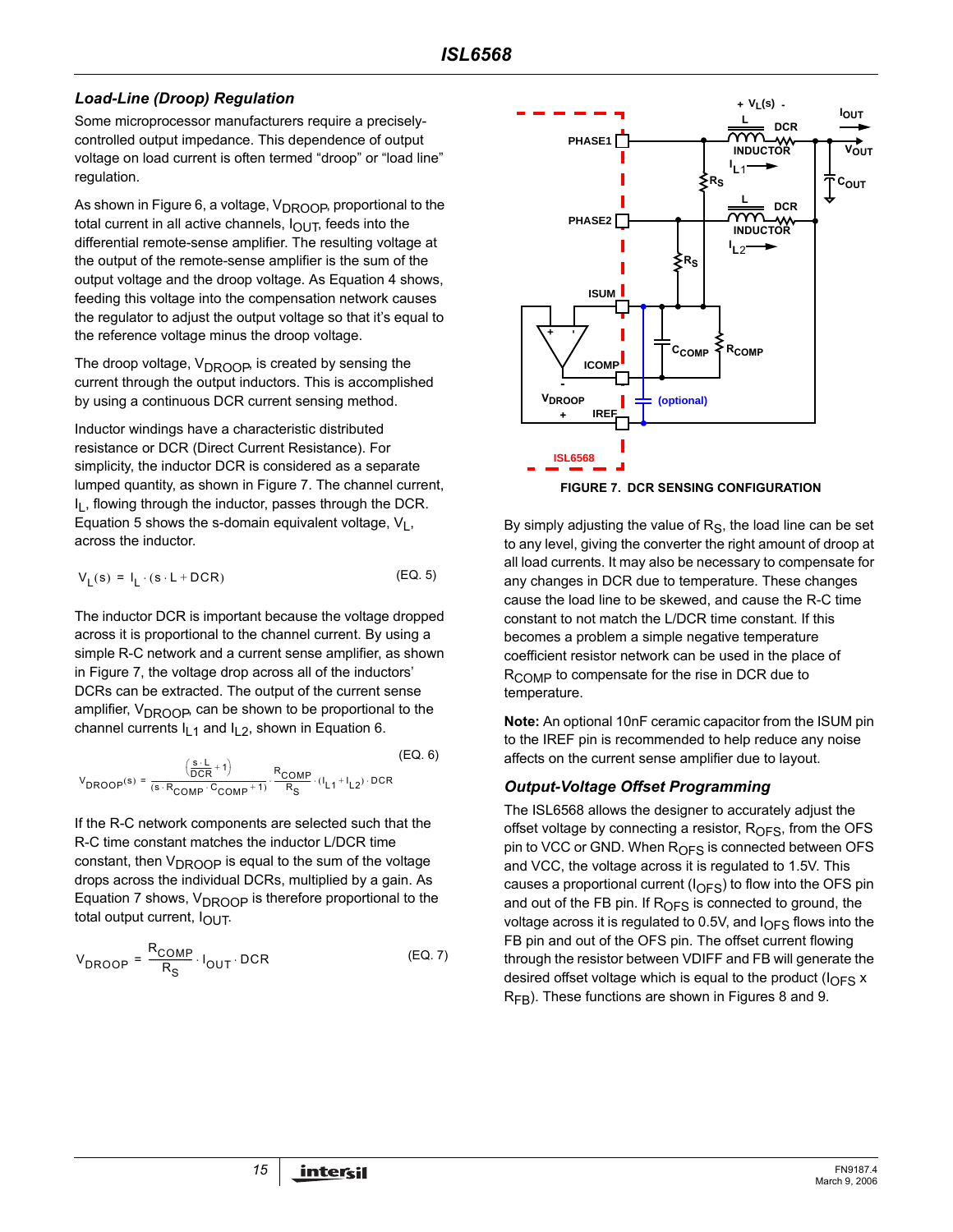### *Load-Line (Droop) Regulation*

Some microprocessor manufacturers require a preciselycontrolled output impedance. This dependence of output voltage on load current is often termed "droop" or "load line" regulation.

As shown in Figure 6, a voltage, V<sub>DROOP</sub>, proportional to the total current in all active channels,  $I_{\text{OUT}}$ , feeds into the differential remote-sense amplifier. The resulting voltage at the output of the remote-sense amplifier is the sum of the output voltage and the droop voltage. As Equation 4 shows, feeding this voltage into the compensation network causes the regulator to adjust the output voltage so that it's equal to the reference voltage minus the droop voltage.

The droop voltage,  $V_{DROOP}$ , is created by sensing the current through the output inductors. This is accomplished by using a continuous DCR current sensing method.

Inductor windings have a characteristic distributed resistance or DCR (Direct Current Resistance). For simplicity, the inductor DCR is considered as a separate lumped quantity, as shown in Figure 7. The channel current, I<sub>I</sub>, flowing through the inductor, passes through the DCR. Equation 5 shows the s-domain equivalent voltage,  $V_1$ , across the inductor.

$$
V_{L}(s) = I_{L} \cdot (s \cdot L + DCR)
$$
 (EQ. 5)

The inductor DCR is important because the voltage dropped across it is proportional to the channel current. By using a simple R-C network and a current sense amplifier, as shown in Figure 7, the voltage drop across all of the inductors' DCRs can be extracted. The output of the current sense amplifier,  $V_{DROOB}$  can be shown to be proportional to the channel currents  $I_1$ <sub>1</sub> and  $I_2$ , shown in Equation 6.

$$
V_{DROOP}(s) = \frac{\left(\frac{s \cdot L}{DCR} + 1\right)}{(s \cdot R_{COMP} \cdot C_{COMP} + 1)} \cdot \frac{R_{COMP}}{R_S} \cdot (I_{L1} + I_{L2}) \cdot DCR
$$
 (EQ. 6)

If the R-C network components are selected such that the R-C time constant matches the inductor L/DCR time constant, then  $V_{DROOP}$  is equal to the sum of the voltage drops across the individual DCRs, multiplied by a gain. As Equation 7 shows,  $V_{DROOP}$  is therefore proportional to the total output current,  $I_{\text{OUT}}$ .

$$
V_{DROOP} = \frac{R_{COMP}}{R_S} \cdot I_{OUT} \cdot DCR
$$
 (EQ. 7)





By simply adjusting the value of  $R<sub>S</sub>$ , the load line can be set to any level, giving the converter the right amount of droop at all load currents. It may also be necessary to compensate for any changes in DCR due to temperature. These changes cause the load line to be skewed, and cause the R-C time constant to not match the L/DCR time constant. If this becomes a problem a simple negative temperature coefficient resistor network can be used in the place of R<sub>COMP</sub> to compensate for the rise in DCR due to temperature.

**Note:** An optional 10nF ceramic capacitor from the ISUM pin to the IREF pin is recommended to help reduce any noise affects on the current sense amplifier due to layout.

### *Output-Voltage Offset Programming*

The ISL6568 allows the designer to accurately adjust the offset voltage by connecting a resistor,  $R<sub>OFS</sub>$ , from the OFS pin to VCC or GND. When R<sub>OFS</sub> is connected between OFS and VCC, the voltage across it is regulated to 1.5V. This causes a proportional current  $(I_{\text{OFS}})$  to flow into the OFS pin and out of the FB pin. If  $R<sub>OFS</sub>$  is connected to ground, the voltage across it is regulated to 0.5V, and  $I<sub>OFS</sub>$  flows into the FB pin and out of the OFS pin. The offset current flowing through the resistor between VDIFF and FB will generate the desired offset voltage which is equal to the product  $(I_{\Omega}F_S \times I_{\Omega})$  $R_{FB}$ ). These functions are shown in Figures 8 and 9.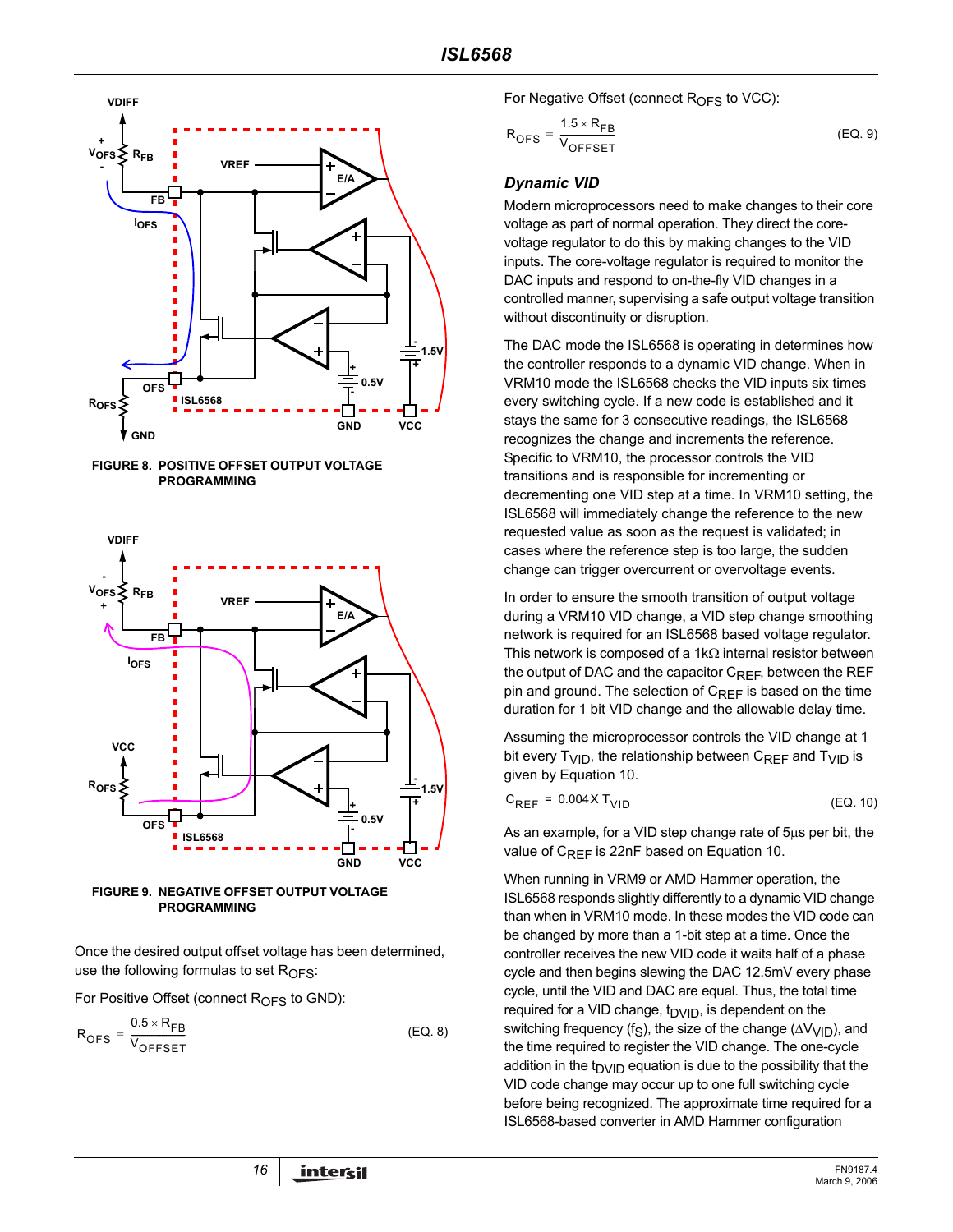







Once the desired output offset voltage has been determined, use the following formulas to set  $R<sub>OFS</sub>$ :

For Positive Offset (connect  $R<sub>OFS</sub>$  to GND):

$$
R_{\text{OFS}} = \frac{0.5 \times R_{\text{FB}}}{V_{\text{OFFSET}}}
$$
 (EQ. 8)

For Negative Offset (connect  $R<sub>OFS</sub>$  to VCC):

$$
R_{\text{OFS}} = \frac{1.5 \times R_{\text{FB}}}{V_{\text{OFFSET}}}
$$
 (EQ. 9)

#### *Dynamic VID*

Modern microprocessors need to make changes to their core voltage as part of normal operation. They direct the corevoltage regulator to do this by making changes to the VID inputs. The core-voltage regulator is required to monitor the DAC inputs and respond to on-the-fly VID changes in a controlled manner, supervising a safe output voltage transition without discontinuity or disruption.

The DAC mode the ISL6568 is operating in determines how the controller responds to a dynamic VID change. When in VRM10 mode the ISL6568 checks the VID inputs six times every switching cycle. If a new code is established and it stays the same for 3 consecutive readings, the ISL6568 recognizes the change and increments the reference. Specific to VRM10, the processor controls the VID transitions and is responsible for incrementing or decrementing one VID step at a time. In VRM10 setting, the ISL6568 will immediately change the reference to the new requested value as soon as the request is validated; in cases where the reference step is too large, the sudden change can trigger overcurrent or overvoltage events.

In order to ensure the smooth transition of output voltage during a VRM10 VID change, a VID step change smoothing network is required for an ISL6568 based voltage regulator. This network is composed of a 1k $\Omega$  internal resistor between the output of DAC and the capacitor  $C_{RFF}$ , between the REF pin and ground. The selection of  $C_{REF}$  is based on the time duration for 1 bit VID change and the allowable delay time.

Assuming the microprocessor controls the VID change at 1 bit every  $T_{\text{VID}}$ , the relationship between  $C_{\text{REF}}$  and  $T_{\text{VID}}$  is given by Equation 10.

$$
C_{REF} = 0.004X T_{VID}
$$
 (EQ. 10)

As an example, for a VID step change rate of 5µs per bit, the value of  $C_{RFF}$  is 22nF based on Equation 10.

When running in VRM9 or AMD Hammer operation, the ISL6568 responds slightly differently to a dynamic VID change than when in VRM10 mode. In these modes the VID code can be changed by more than a 1-bit step at a time. Once the controller receives the new VID code it waits half of a phase cycle and then begins slewing the DAC 12.5mV every phase cycle, until the VID and DAC are equal. Thus, the total time required for a VID change,  $t<sub>DVID</sub>$ , is dependent on the switching frequency (f<sub>S</sub>), the size of the change ( $\Delta V_{VID}$ ), and the time required to register the VID change. The one-cycle addition in the t<sub>DVID</sub> equation is due to the possibility that the VID code change may occur up to one full switching cycle before being recognized. The approximate time required for a ISL6568-based converter in AMD Hammer configuration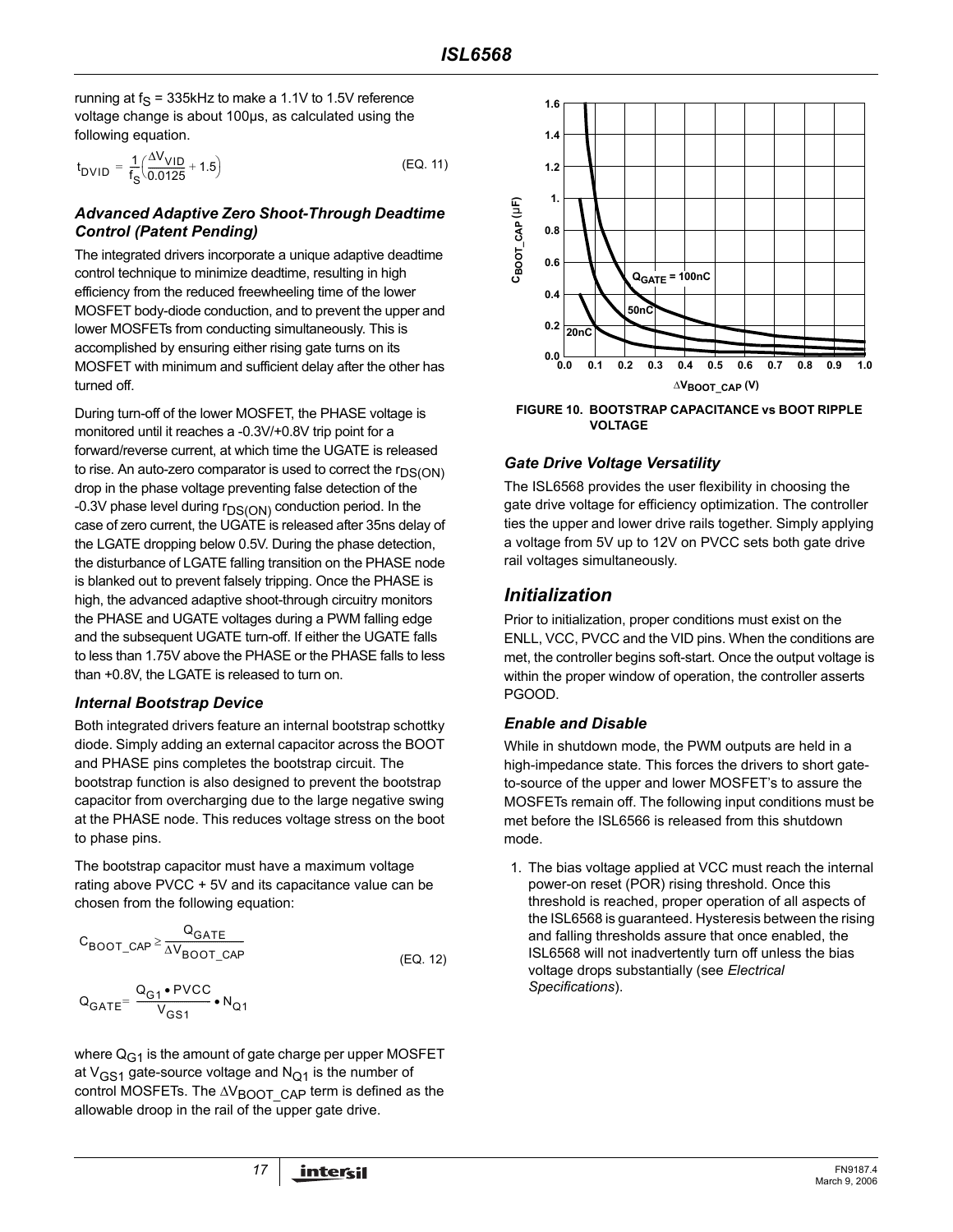running at  $f_S = 335$ kHz to make a 1.1V to 1.5V reference voltage change is about 100µs, as calculated using the following equation.

$$
t_{\text{DVID}} = \frac{1}{f_S} \left( \frac{\Delta V_{\text{VID}}}{0.0125} + 1.5 \right) \tag{Eq. 11}
$$

#### *Advanced Adaptive Zero Shoot-Through Deadtime Control (Patent Pending)*

The integrated drivers incorporate a unique adaptive deadtime control technique to minimize deadtime, resulting in high efficiency from the reduced freewheeling time of the lower MOSFET body-diode conduction, and to prevent the upper and lower MOSFETs from conducting simultaneously. This is accomplished by ensuring either rising gate turns on its MOSFET with minimum and sufficient delay after the other has turned off.

During turn-off of the lower MOSFET, the PHASE voltage is monitored until it reaches a -0.3V/+0.8V trip point for a forward/reverse current, at which time the UGATE is released to rise. An auto-zero comparator is used to correct the  $r_{DS(ON)}$ drop in the phase voltage preventing false detection of the -0.3V phase level during  $r_{DS(ON)}$  conduction period. In the case of zero current, the UGATE is released after 35ns delay of the LGATE dropping below 0.5V. During the phase detection, the disturbance of LGATE falling transition on the PHASE node is blanked out to prevent falsely tripping. Once the PHASE is high, the advanced adaptive shoot-through circuitry monitors the PHASE and UGATE voltages during a PWM falling edge and the subsequent UGATE turn-off. If either the UGATE falls to less than 1.75V above the PHASE or the PHASE falls to less than +0.8V, the LGATE is released to turn on.

#### *Internal Bootstrap Device*

Both integrated drivers feature an internal bootstrap schottky diode. Simply adding an external capacitor across the BOOT and PHASE pins completes the bootstrap circuit. The bootstrap function is also designed to prevent the bootstrap capacitor from overcharging due to the large negative swing at the PHASE node. This reduces voltage stress on the boot to phase pins.

The bootstrap capacitor must have a maximum voltage rating above PVCC + 5V and its capacitance value can be chosen from the following equation:

$$
C_{\text{BOOT}\_\text{CAP}} \ge \frac{Q_{\text{GATE}}}{\Delta V_{\text{BOOT}\_\text{CAP}}}
$$
 (EQ. 12)

$$
Q_{GATE} = \frac{Q_{G1} \cdot \text{PVCC}}{V_{GS1}} \cdot N_{Q1}
$$

where  $Q_{G1}$  is the amount of gate charge per upper MOSFET at  $V_{GS1}$  gate-source voltage and  $N_{O1}$  is the number of control MOSFETs. The  $\Delta V_{\text{BOOT\_CAP}}$  term is defined as the allowable droop in the rail of the upper gate drive.



**VOLTAGE**

#### *Gate Drive Voltage Versatility*

The ISL6568 provides the user flexibility in choosing the gate drive voltage for efficiency optimization. The controller ties the upper and lower drive rails together. Simply applying a voltage from 5V up to 12V on PVCC sets both gate drive rail voltages simultaneously.

### *Initialization*

Prior to initialization, proper conditions must exist on the ENLL, VCC, PVCC and the VID pins. When the conditions are met, the controller begins soft-start. Once the output voltage is within the proper window of operation, the controller asserts PGOOD.

#### *Enable and Disable*

While in shutdown mode, the PWM outputs are held in a high-impedance state. This forces the drivers to short gateto-source of the upper and lower MOSFET's to assure the MOSFETs remain off. The following input conditions must be met before the ISL6566 is released from this shutdown mode.

1. The bias voltage applied at VCC must reach the internal power-on reset (POR) rising threshold. Once this threshold is reached, proper operation of all aspects of the ISL6568 is guaranteed. Hysteresis between the rising and falling thresholds assure that once enabled, the ISL6568 will not inadvertently turn off unless the bias voltage drops substantially (see *Electrical Specifications*).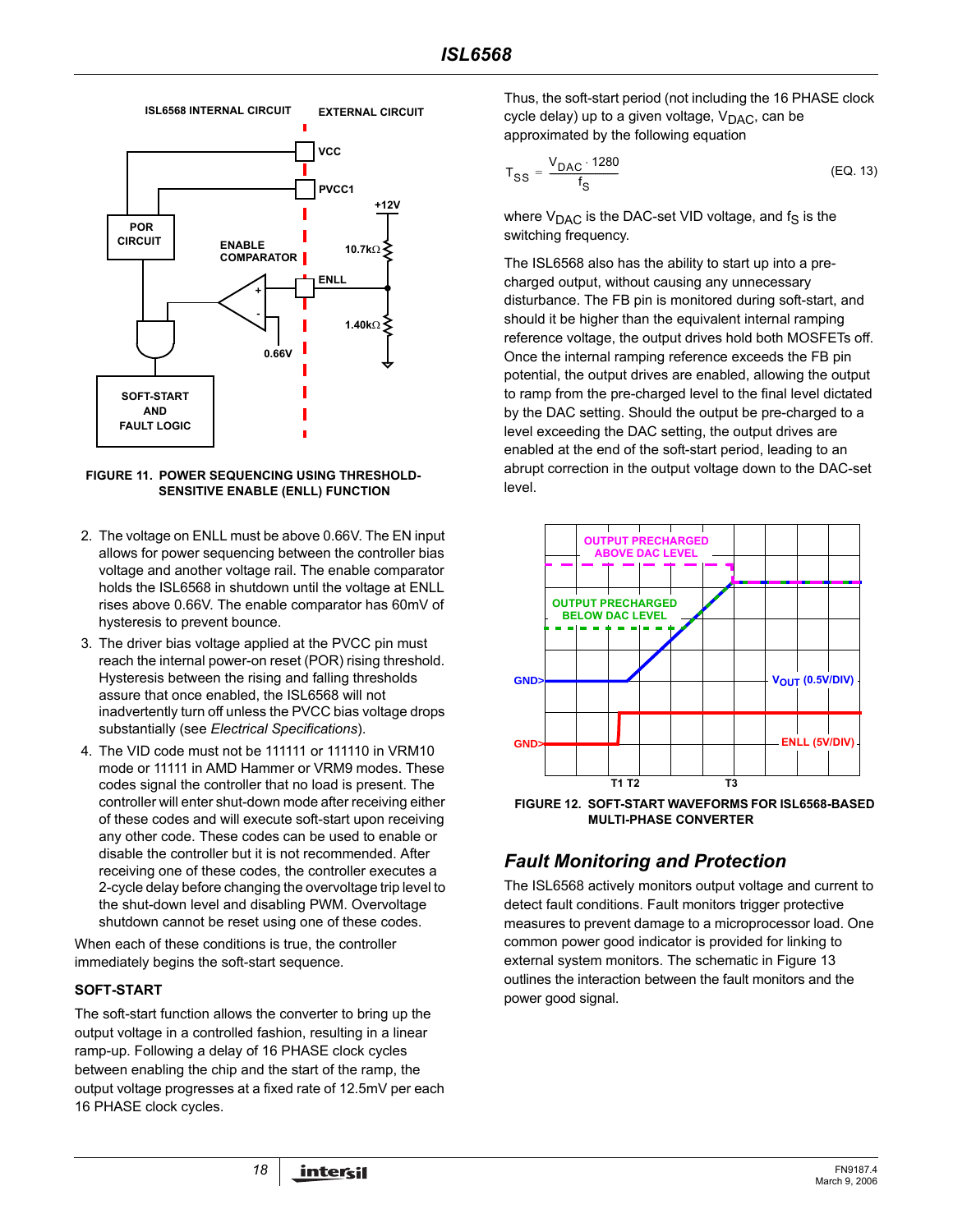

**FIGURE 11. POWER SEQUENCING USING THRESHOLD-SENSITIVE ENABLE (ENLL) FUNCTION**

- 2. The voltage on ENLL must be above 0.66V. The EN input allows for power sequencing between the controller bias voltage and another voltage rail. The enable comparator holds the ISL6568 in shutdown until the voltage at ENLL rises above 0.66V. The enable comparator has 60mV of hysteresis to prevent bounce.
- 3. The driver bias voltage applied at the PVCC pin must reach the internal power-on reset (POR) rising threshold. Hysteresis between the rising and falling thresholds assure that once enabled, the ISL6568 will not inadvertently turn off unless the PVCC bias voltage drops substantially (see *Electrical Specifications*).
- 4. The VID code must not be 111111 or 111110 in VRM10 mode or 11111 in AMD Hammer or VRM9 modes. These codes signal the controller that no load is present. The controller will enter shut-down mode after receiving either of these codes and will execute soft-start upon receiving any other code. These codes can be used to enable or disable the controller but it is not recommended. After receiving one of these codes, the controller executes a 2-cycle delay before changing the overvoltage trip level to the shut-down level and disabling PWM. Overvoltage shutdown cannot be reset using one of these codes.

When each of these conditions is true, the controller immediately begins the soft-start sequence.

#### **SOFT-START**

The soft-start function allows the converter to bring up the output voltage in a controlled fashion, resulting in a linear ramp-up. Following a delay of 16 PHASE clock cycles between enabling the chip and the start of the ramp, the output voltage progresses at a fixed rate of 12.5mV per each 16 PHASE clock cycles.

Thus, the soft-start period (not including the 16 PHASE clock cycle delay) up to a given voltage,  $V_{\text{DAC}}$ , can be approximated by the following equation

$$
T_{SS} = \frac{V_{DAC} \cdot 1280}{f_S} \tag{EQ.13}
$$

where  $V_{\text{DAC}}$  is the DAC-set VID voltage, and  $f_S$  is the switching frequency.

The ISL6568 also has the ability to start up into a precharged output, without causing any unnecessary disturbance. The FB pin is monitored during soft-start, and should it be higher than the equivalent internal ramping reference voltage, the output drives hold both MOSFETs off. Once the internal ramping reference exceeds the FB pin potential, the output drives are enabled, allowing the output to ramp from the pre-charged level to the final level dictated by the DAC setting. Should the output be pre-charged to a level exceeding the DAC setting, the output drives are enabled at the end of the soft-start period, leading to an abrupt correction in the output voltage down to the DAC-set level.



**MULTI-PHASE CONVERTER**

# *Fault Monitoring and Protection*

The ISL6568 actively monitors output voltage and current to detect fault conditions. Fault monitors trigger protective measures to prevent damage to a microprocessor load. One common power good indicator is provided for linking to external system monitors. The schematic in Figure 13 outlines the interaction between the fault monitors and the power good signal.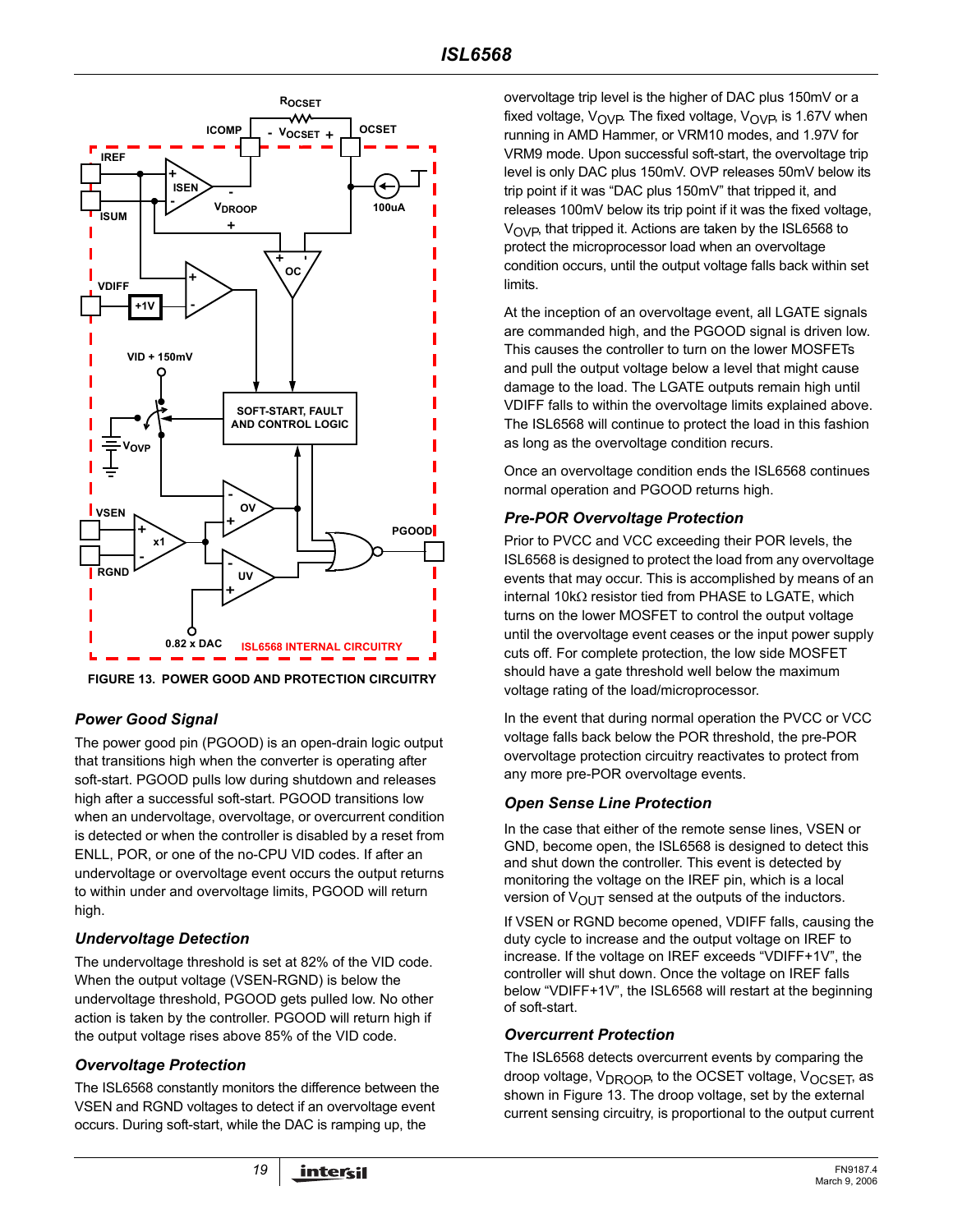

**FIGURE 13. POWER GOOD AND PROTECTION CIRCUITRY**

### *Power Good Signal*

The power good pin (PGOOD) is an open-drain logic output that transitions high when the converter is operating after soft-start. PGOOD pulls low during shutdown and releases high after a successful soft-start. PGOOD transitions low when an undervoltage, overvoltage, or overcurrent condition is detected or when the controller is disabled by a reset from ENLL, POR, or one of the no-CPU VID codes. If after an undervoltage or overvoltage event occurs the output returns to within under and overvoltage limits, PGOOD will return high.

### *Undervoltage Detection*

The undervoltage threshold is set at 82% of the VID code. When the output voltage (VSEN-RGND) is below the undervoltage threshold, PGOOD gets pulled low. No other action is taken by the controller. PGOOD will return high if the output voltage rises above 85% of the VID code.

### *Overvoltage Protection*

The ISL6568 constantly monitors the difference between the VSEN and RGND voltages to detect if an overvoltage event occurs. During soft-start, while the DAC is ramping up, the

overvoltage trip level is the higher of DAC plus 150mV or a fixed voltage,  $V_{\text{OVP}}$ . The fixed voltage,  $V_{\text{OVP}}$  is 1.67V when running in AMD Hammer, or VRM10 modes, and 1.97V for VRM9 mode. Upon successful soft-start, the overvoltage trip level is only DAC plus 150mV. OVP releases 50mV below its trip point if it was "DAC plus 150mV" that tripped it, and releases 100mV below its trip point if it was the fixed voltage,  $V_{\text{OVP}}$ , that tripped it. Actions are taken by the ISL6568 to protect the microprocessor load when an overvoltage condition occurs, until the output voltage falls back within set limits.

At the inception of an overvoltage event, all LGATE signals are commanded high, and the PGOOD signal is driven low. This causes the controller to turn on the lower MOSFETs and pull the output voltage below a level that might cause damage to the load. The LGATE outputs remain high until VDIFF falls to within the overvoltage limits explained above. The ISL6568 will continue to protect the load in this fashion as long as the overvoltage condition recurs.

Once an overvoltage condition ends the ISL6568 continues normal operation and PGOOD returns high.

### *Pre-POR Overvoltage Protection*

Prior to PVCC and VCC exceeding their POR levels, the ISL6568 is designed to protect the load from any overvoltage events that may occur. This is accomplished by means of an internal 10kΩ resistor tied from PHASE to LGATE, which turns on the lower MOSFET to control the output voltage until the overvoltage event ceases or the input power supply cuts off. For complete protection, the low side MOSFET should have a gate threshold well below the maximum voltage rating of the load/microprocessor.

In the event that during normal operation the PVCC or VCC voltage falls back below the POR threshold, the pre-POR overvoltage protection circuitry reactivates to protect from any more pre-POR overvoltage events.

#### *Open Sense Line Protection*

In the case that either of the remote sense lines, VSEN or GND, become open, the ISL6568 is designed to detect this and shut down the controller. This event is detected by monitoring the voltage on the IREF pin, which is a local version of  $V_{\text{OUT}}$  sensed at the outputs of the inductors.

If VSEN or RGND become opened, VDIFF falls, causing the duty cycle to increase and the output voltage on IREF to increase. If the voltage on IREF exceeds "VDIFF+1V", the controller will shut down. Once the voltage on IREF falls below "VDIFF+1V", the ISL6568 will restart at the beginning of soft-start.

#### *Overcurrent Protection*

The ISL6568 detects overcurrent events by comparing the droop voltage, V<sub>DROOP</sub>, to the OCSET voltage, V<sub>OCSET</sub>, as shown in Figure 13. The droop voltage, set by the external current sensing circuitry, is proportional to the output current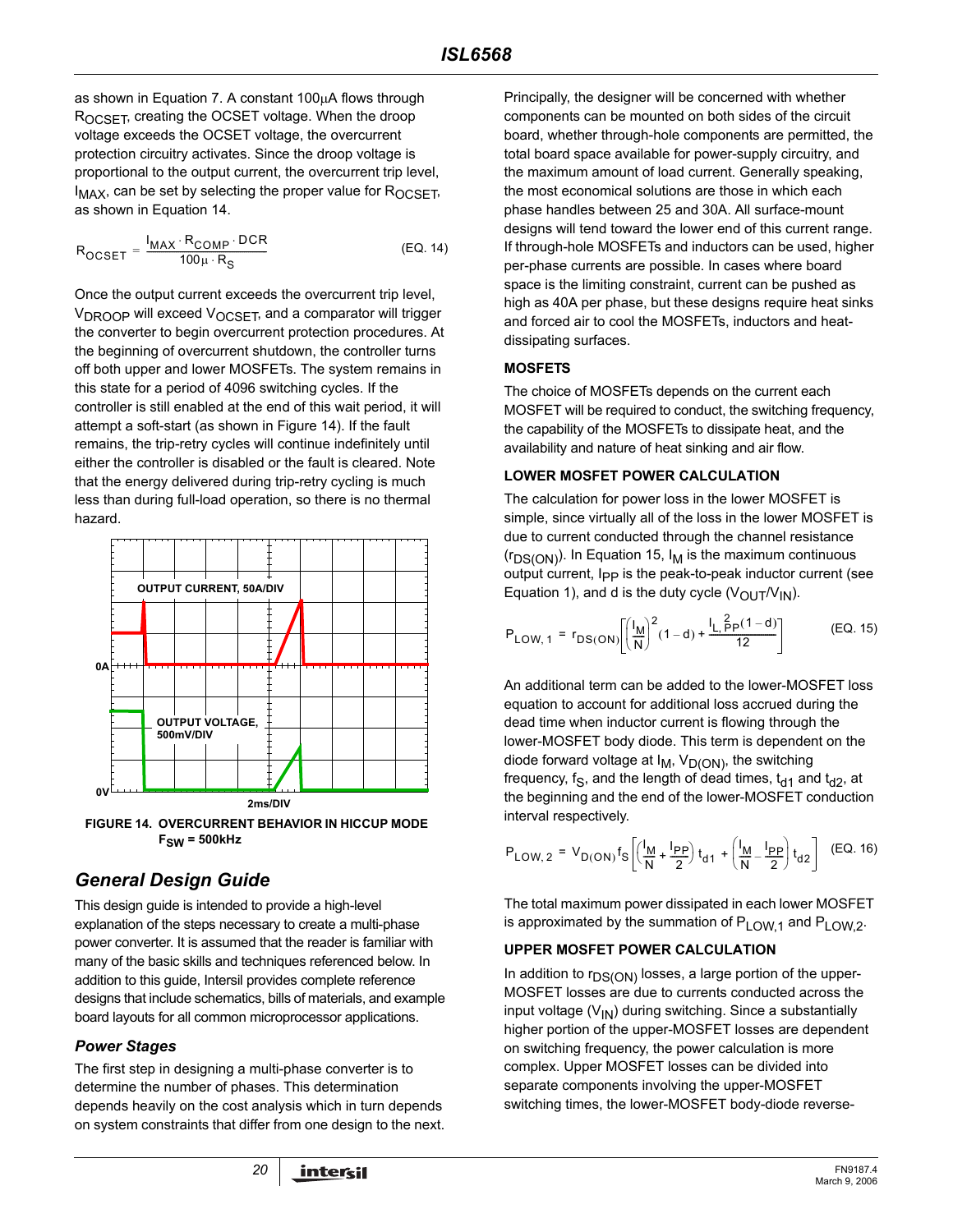as shown in Equation 7. A constant 100µA flows through ROCSET, creating the OCSET voltage. When the droop voltage exceeds the OCSET voltage, the overcurrent protection circuitry activates. Since the droop voltage is proportional to the output current, the overcurrent trip level,  $I_{MAX}$ , can be set by selecting the proper value for  $R_{OCSFT}$ , as shown in Equation 14.

$$
R_{OCSET} = \frac{I_{MAX} \cdot R_{COMP} \cdot DCR}{100 \mu \cdot R_S}
$$
 (EQ. 14)

Once the output current exceeds the overcurrent trip level, V<sub>DROOP</sub> will exceed V<sub>OCSET</sub>, and a comparator will trigger the converter to begin overcurrent protection procedures. At the beginning of overcurrent shutdown, the controller turns off both upper and lower MOSFETs. The system remains in this state for a period of 4096 switching cycles. If the controller is still enabled at the end of this wait period, it will attempt a soft-start (as shown in Figure 14). If the fault remains, the trip-retry cycles will continue indefinitely until either the controller is disabled or the fault is cleared. Note that the energy delivered during trip-retry cycling is much less than during full-load operation, so there is no thermal hazard.



**FIGURE 14. OVERCURRENT BEHAVIOR IN HICCUP MODE FSW = 500kHz**

# *General Design Guide*

This design guide is intended to provide a high-level explanation of the steps necessary to create a multi-phase power converter. It is assumed that the reader is familiar with many of the basic skills and techniques referenced below. In addition to this guide, Intersil provides complete reference designs that include schematics, bills of materials, and example board layouts for all common microprocessor applications.

### *Power Stages*

The first step in designing a multi-phase converter is to determine the number of phases. This determination depends heavily on the cost analysis which in turn depends on system constraints that differ from one design to the next.

Principally, the designer will be concerned with whether components can be mounted on both sides of the circuit board, whether through-hole components are permitted, the total board space available for power-supply circuitry, and the maximum amount of load current. Generally speaking, the most economical solutions are those in which each phase handles between 25 and 30A. All surface-mount designs will tend toward the lower end of this current range. If through-hole MOSFETs and inductors can be used, higher per-phase currents are possible. In cases where board space is the limiting constraint, current can be pushed as high as 40A per phase, but these designs require heat sinks and forced air to cool the MOSFETs, inductors and heatdissipating surfaces.

#### <span id="page-19-0"></span>**MOSFETS**

The choice of MOSFETs depends on the current each MOSFET will be required to conduct, the switching frequency, the capability of the MOSFETs to dissipate heat, and the availability and nature of heat sinking and air flow.

#### **LOWER MOSFET POWER CALCULATION**

The calculation for power loss in the lower MOSFET is simple, since virtually all of the loss in the lower MOSFET is due to current conducted through the channel resistance  $(r_{DS(ON)})$ . In Equation 15,  $I_M$  is the maximum continuous output current, I<sub>PP</sub> is the peak-to-peak inductor current (see Equation 1), and d is the duty cycle  $(V_{\text{OUT}}/V_{\text{IN}})$ .

$$
P_{LOW, 1} = r_{DS(ON)} \left[ \left( \frac{I_M}{N} \right)^2 (1 - d) + \frac{I_L}{12} \frac{2p(1 - d)}{12} \right] \tag{EQ.15}
$$

An additional term can be added to the lower-MOSFET loss equation to account for additional loss accrued during the dead time when inductor current is flowing through the lower-MOSFET body diode. This term is dependent on the diode forward voltage at  $I_M$ ,  $V_{D(ON)}$ , the switching frequency, f<sub>S</sub>, and the length of dead times,  $t_{d1}$  and  $t_{d2}$ , at the beginning and the end of the lower-MOSFET conduction interval respectively.

$$
P_{LOW, 2} = V_{D(ON)} f_S \left[ \left( \frac{l_M}{N} + \frac{l_{PP}}{2} \right) t_{d1} + \left( \frac{l_M}{N} - \frac{l_{PP}}{2} \right) t_{d2} \right] (EQ. 16)
$$

The total maximum power dissipated in each lower MOSFET is approximated by the summation of  $P_{LOW,1}$  and  $P_{LOW,2}$ .

#### **UPPER MOSFET POWER CALCULATION**

In addition to  $r_{DS(ON)}$  losses, a large portion of the upper-MOSFET losses are due to currents conducted across the input voltage  $(V_{1N})$  during switching. Since a substantially higher portion of the upper-MOSFET losses are dependent on switching frequency, the power calculation is more complex. Upper MOSFET losses can be divided into separate components involving the upper-MOSFET switching times, the lower-MOSFET body-diode reverse-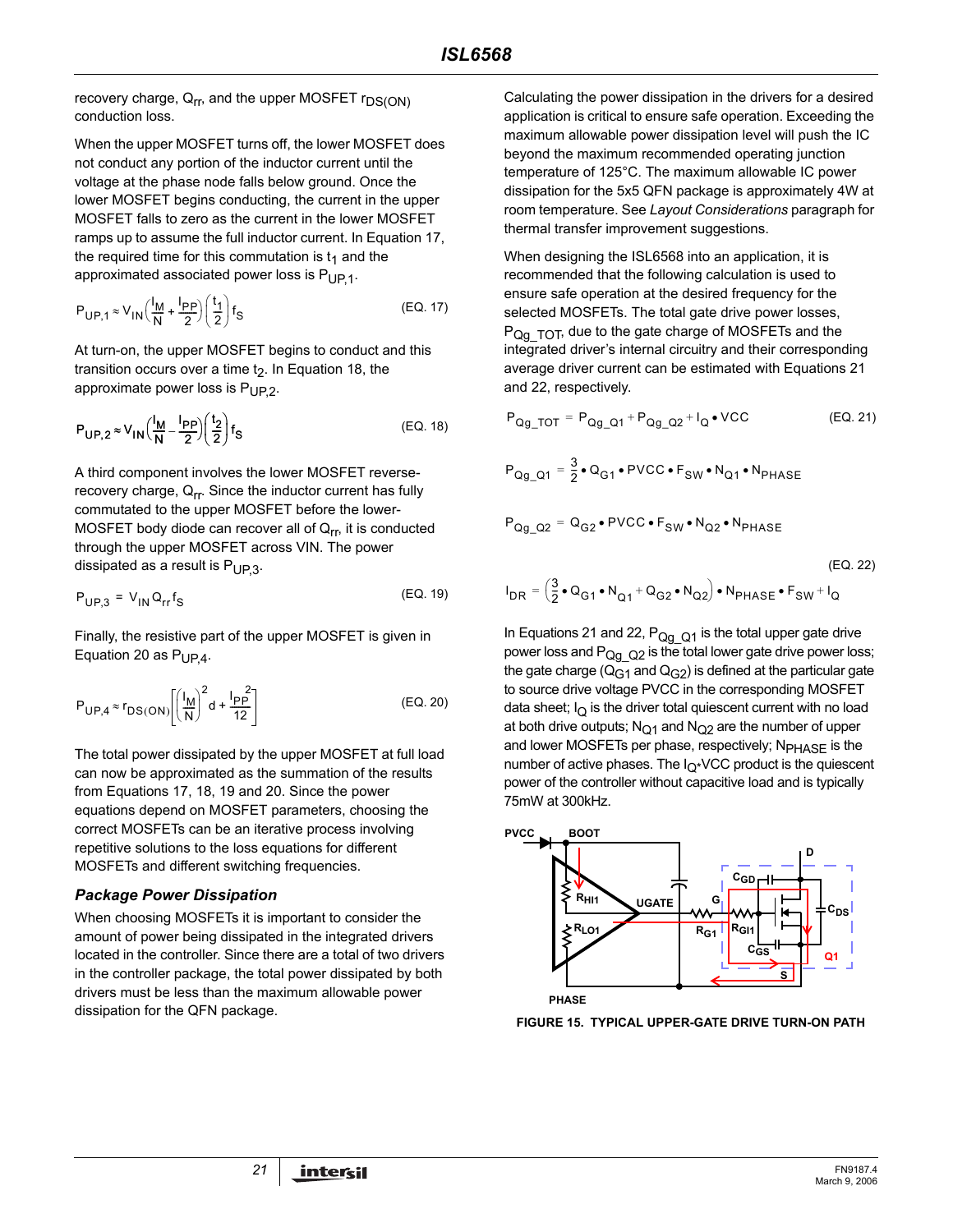recovery charge,  $Q_{rr}$ , and the upper MOSFET  $r_{DS(ON)}$ conduction loss.

When the upper MOSFET turns off, the lower MOSFET does not conduct any portion of the inductor current until the voltage at the phase node falls below ground. Once the lower MOSFET begins conducting, the current in the upper MOSFET falls to zero as the current in the lower MOSFET ramps up to assume the full inductor current. In Equation 17, the required time for this commutation is  $t_1$  and the approximated associated power loss is  $P_{UP,1}$ .

$$
P_{\text{UP},1} \approx V_{\text{IN}} \left( \frac{I_{\text{M}}}{\text{N}} + \frac{I_{\text{PP}}}{2} \right) \left( \frac{t_1}{2} \right) f_{\text{S}}
$$
 (EQ. 17)

At turn-on, the upper MOSFET begins to conduct and this transition occurs over a time  $t<sub>2</sub>$ . In Equation 18, the approximate power loss is  $P_{UP,2}$ .

$$
P_{\mathsf{UP},2} \approx V_{\mathsf{IN}} \left(\frac{I_{\mathsf{M}}}{\mathsf{N}} - \frac{I_{\mathsf{PP}}}{2}\right) \left(\frac{t_2}{2}\right) f_{\mathsf{S}} \tag{EQ.18}
$$

A third component involves the lower MOSFET reverserecovery charge,  $Q_{rr}$ . Since the inductor current has fully commutated to the upper MOSFET before the lower-MOSFET body diode can recover all of  $Q_{rr}$ , it is conducted through the upper MOSFET across VIN. The power dissipated as a result is  $P_{UP3}$ .

$$
P_{UP,3} = V_{IN} Q_{rr} f_S \tag{Eq. 19}
$$

Finally, the resistive part of the upper MOSFET is given in Equation 20 as  $P_{UP4}$ .

$$
P_{\text{UP},4} \approx r_{\text{DS}(\text{ON})} \left[ \left( \frac{I_M}{N} \right)^2 d + \frac{I_{\text{PP}}^2}{12} \right] \tag{Eq. 20}
$$

The total power dissipated by the upper MOSFET at full load can now be approximated as the summation of the results from Equations 17, 18, 19 and 20. Since the power equations depend on MOSFET parameters, choosing the correct MOSFETs can be an iterative process involving repetitive solutions to the loss equations for different MOSFETs and different switching frequencies.

#### *Package Power Dissipation*

When choosing MOSFETs it is important to consider the amount of power being dissipated in the integrated drivers located in the controller. Since there are a total of two drivers in the controller package, the total power dissipated by both drivers must be less than the maximum allowable power dissipation for the QFN package.

Calculating the power dissipation in the drivers for a desired application is critical to ensure safe operation. Exceeding the maximum allowable power dissipation level will push the IC beyond the maximum recommended operating junction temperature of 125°C. The maximum allowable IC power dissipation for the 5x5 QFN package is approximately 4W at room temperature. See *Layout Considerations* paragraph for thermal transfer improvement suggestions.

When designing the ISL6568 into an application, it is recommended that the following calculation is used to ensure safe operation at the desired frequency for the selected MOSFETs. The total gate drive power losses,  $P_{\text{Qq TOT}}$ , due to the gate charge of MOSFETs and the integrated driver's internal circuitry and their corresponding average driver current can be estimated with Equations 21 and 22, respectively.

$$
P_{Qg\_TOT} = P_{Qg\_Q1} + P_{Qg\_Q2} + I_Q \bullet VCC
$$
 (EQ. 21)

$$
P_{Qg\_Q1} = \frac{3}{2} \cdot Q_{G1} \cdot \text{PVCC} \cdot F_{SW} \cdot N_{Q1} \cdot N_{PHASE}
$$

$$
P_{Qg_Q^2} = Q_{G2} \cdot \text{PVCC} \cdot F_{SW} \cdot N_{Q2} \cdot N_{\text{PHASE}}
$$

$$
I_{DR} = \left(\frac{3}{2} \cdot Q_{G1} \cdot N_{Q1} + Q_{G2} \cdot N_{Q2}\right) \cdot N_{PHASE} \cdot F_{SW} + I_Q
$$
 (EQ. 22)

In Equations 21 and 22,  $P_{Qg-Q1}$  is the total upper gate drive power loss and  $P_{QqQ2}$  is the total lower gate drive power loss; the gate charge ( $Q_{G1}$  and  $Q_{G2}$ ) is defined at the particular gate to source drive voltage PVCC in the corresponding MOSFET data sheet;  $I_{\Omega}$  is the driver total quiescent current with no load at both drive outputs;  $N<sub>Q1</sub>$  and  $N<sub>Q2</sub>$  are the number of upper and lower MOSFETs per phase, respectively; N<sub>PHASF</sub> is the number of active phases. The  $I_{Q^*}$ VCC product is the quiescent power of the controller without capacitive load and is typically 75mW at 300kHz.



**FIGURE 15. TYPICAL UPPER-GATE DRIVE TURN-ON PATH**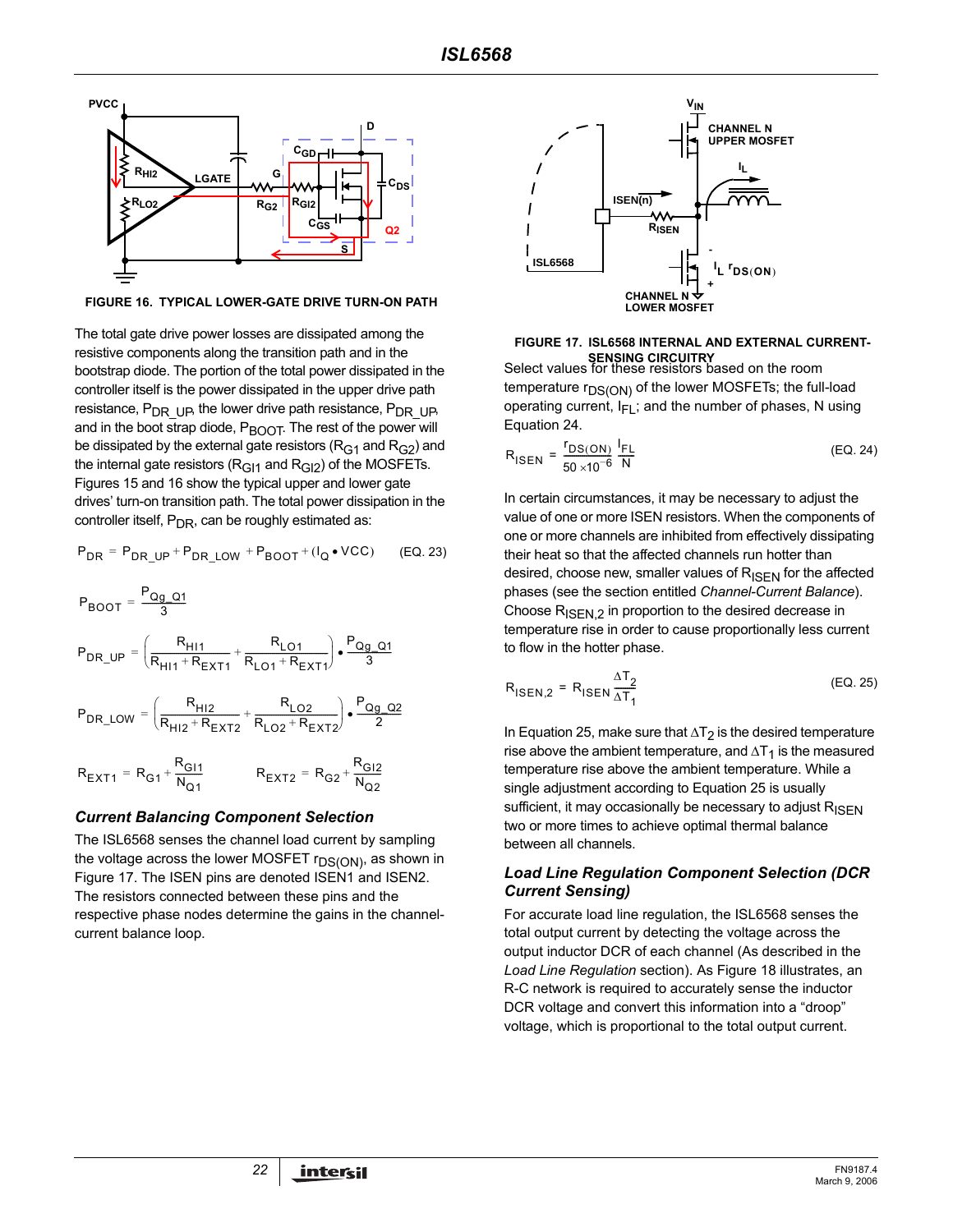

**FIGURE 16. TYPICAL LOWER-GATE DRIVE TURN-ON PATH**

The total gate drive power losses are dissipated among the resistive components along the transition path and in the bootstrap diode. The portion of the total power dissipated in the controller itself is the power dissipated in the upper drive path resistance,  $P_{DR}$  Up, the lower drive path resistance,  $P_{DR}$  UP, and in the boot strap diode,  $P_{\text{BOOT}}$ . The rest of the power will be dissipated by the external gate resistors ( $R<sub>G1</sub>$  and  $R<sub>G2</sub>$ ) and the internal gate resistors ( $R<sub>G11</sub>$  and  $R<sub>G12</sub>$ ) of the MOSFETs. Figures 15 and 16 show the typical upper and lower gate drives' turn-on transition path. The total power dissipation in the controller itself,  $P_{DR}$ , can be roughly estimated as:

$$
P_{DR} = P_{DR\_UP} + P_{DR\_LOW} + P_{BOOT} + (I_Q \bullet VCC)
$$
 (EQ. 23)

$$
P_{BOOT} = \frac{P_{Qg_{Q}Q1}}{3}
$$
\n
$$
P_{DR\_UP} = \left(\frac{R_{H11}}{R_{H11} + R_{EXT1}} + \frac{R_{LO1}}{R_{LO1} + R_{EXT1}}\right) \cdot \frac{P_{Qg_{Q}Q1}}{3}
$$
\n
$$
P_{DR\_LOW} = \left(\frac{R_{H12}}{R_{H12} + R_{EXT2}} + \frac{R_{LO2}}{R_{LO2} + R_{EXT2}}\right) \cdot \frac{P_{Qg_{Q}Q2}}{2}
$$
\n
$$
R_{EXT1} = R_{G1} + \frac{R_{GI1}}{N_{Q1}} \qquad R_{EXT2} = R_{G2} + \frac{R_{GI2}}{N_{Q2}}
$$

#### *Current Balancing Component Selection*

The ISL6568 senses the channel load current by sampling the voltage across the lower MOSFET  $r_{DS(ON)}$ , as shown in Figure 17. The ISEN pins are denoted ISEN1 and ISEN2. The resistors connected between these pins and the respective phase nodes determine the gains in the channelcurrent balance loop.



### **SENSING CIRCUITRY**<br>Select values for these resistors based on the room **FIGURE 17. ISL6568 INTERNAL AND EXTERNAL CURRENT-**

temperature  $r_{DS(ON)}$  of the lower MOSFETs; the full-load operating current,  $I_{FI}$ ; and the number of phases, N using Equation 24.

$$
R_{\text{ISEN}} = \frac{r_{\text{DS}(\text{ON})}}{50 \times 10^{-6}} \frac{I_{\text{FL}}}{N}
$$
 (EQ. 24)

In certain circumstances, it may be necessary to adjust the value of one or more ISEN resistors. When the components of one or more channels are inhibited from effectively dissipating their heat so that the affected channels run hotter than desired, choose new, smaller values of  $R_{\text{ISEN}}$  for the affected phases (see the section entitled *[Channel-Current Balance](#page-10-0)*). Choose  $R_{\text{ISEN,2}}$  in proportion to the desired decrease in temperature rise in order to cause proportionally less current to flow in the hotter phase.

$$
R_{\text{ISEN},2} = R_{\text{ISEN}} \frac{\Delta T_2}{\Delta T_1}
$$
 (EQ. 25)

In Equation 25, make sure that  $\Delta T_2$  is the desired temperature rise above the ambient temperature, and  $\Delta T_1$  is the measured temperature rise above the ambient temperature. While a single adjustment according to Equation 25 is usually sufficient, it may occasionally be necessary to adjust  $R_{\text{ISFN}}$ two or more times to achieve optimal thermal balance between all channels.

#### *Load Line Regulation Component Selection (DCR Current Sensing)*

For accurate load line regulation, the ISL6568 senses the total output current by detecting the voltage across the output inductor DCR of each channel (As described in the *Load Line Regulation* section). As Figure 18 illustrates, an R-C network is required to accurately sense the inductor DCR voltage and convert this information into a "droop" voltage, which is proportional to the total output current.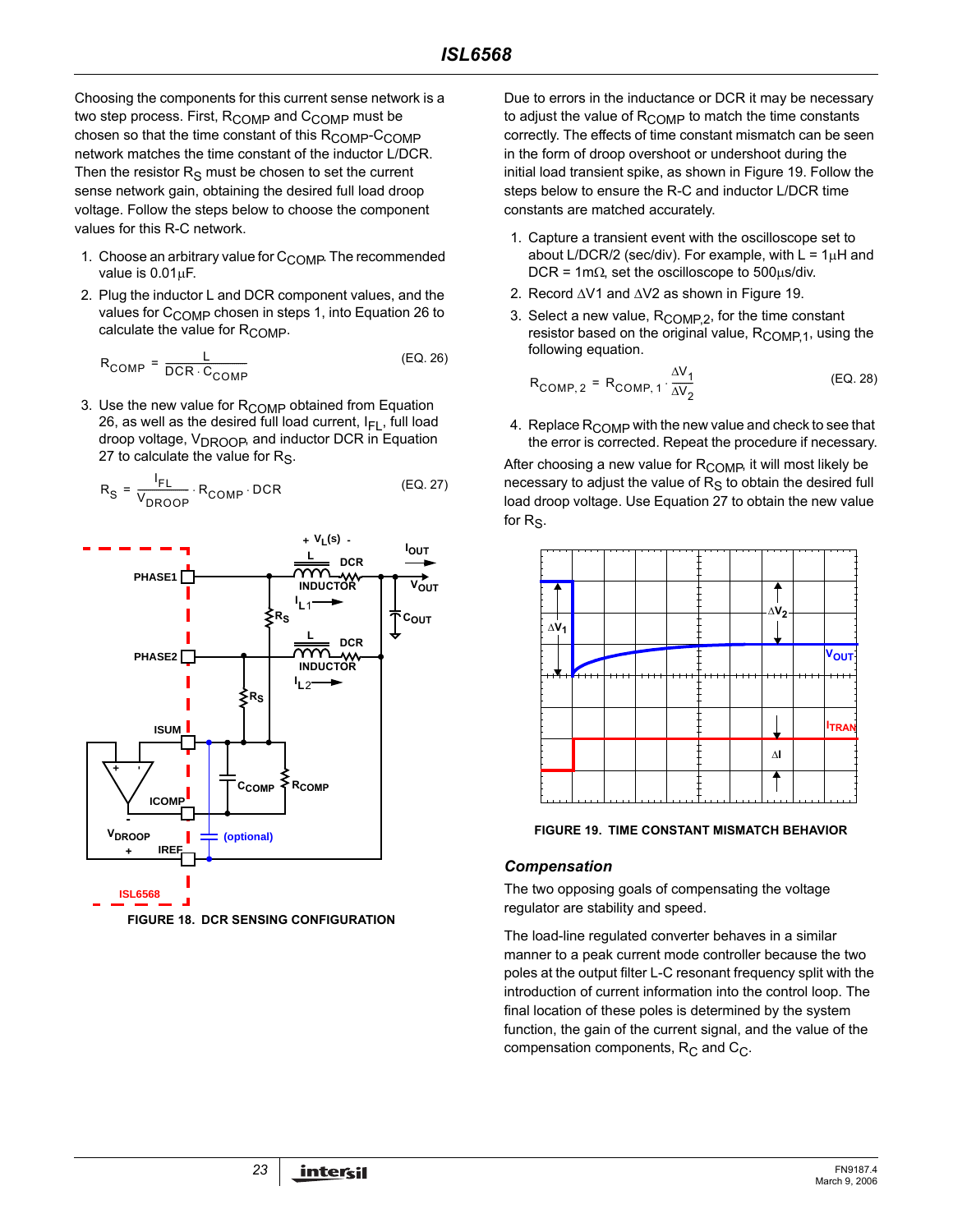Choosing the components for this current sense network is a two step process. First,  $R_{\text{COMP}}$  and  $C_{\text{COMP}}$  must be chosen so that the time constant of this R<sub>COMP</sub>-C<sub>COMP</sub> network matches the time constant of the inductor L/DCR. Then the resistor  $R<sub>S</sub>$  must be chosen to set the current sense network gain, obtaining the desired full load droop voltage. Follow the steps below to choose the component values for this R-C network.

- 1. Choose an arbitrary value for  $C_{\text{COMP}}$ . The recommended value is  $0.01 \mu F$ .
- 2. Plug the inductor L and DCR component values, and the values for C<sub>COMP</sub> chosen in steps 1, into Equation 26 to calculate the value for  $R_{\text{COMP}}$ .

$$
R_{COMP} = \frac{L}{DCR \cdot C_{COMP}} \tag{Eq. 26}
$$

3. Use the new value for  $R_{\text{COMP}}$  obtained from Equation 26, as well as the desired full load current,  $I_{FI}$ , full load droop voltage, V<sub>DROOP</sub>, and inductor DCR in Equation 27 to calculate the value for  $R<sub>S</sub>$ .

$$
R_{S} = \frac{I_{FL}}{V_{DROOP}} \cdot R_{COMP} \cdot DCR
$$
 (EQ. 27)



Due to errors in the inductance or DCR it may be necessary to adjust the value of  $R_{\text{COMP}}$  to match the time constants correctly. The effects of time constant mismatch can be seen in the form of droop overshoot or undershoot during the initial load transient spike, as shown in Figure 19. Follow the steps below to ensure the R-C and inductor L/DCR time constants are matched accurately.

- 1. Capture a transient event with the oscilloscope set to about L/DCR/2 (sec/div). For example, with  $L = 1\mu H$  and DCR = 1m $\Omega$ , set the oscilloscope to 500 $\mu$ s/div.
- 2. Record ∆V1 and ∆V2 as shown in Figure 19.
- 3. Select a new value, R<sub>COMP,2</sub>, for the time constant resistor based on the original value,  $R_{\text{COMP1}}$ , using the following equation.

$$
R_{COMP, 2} = R_{COMP, 1} \cdot \frac{\Delta V_1}{\Delta V_2}
$$
 (EQ. 28)

4. Replace  $R_{\text{COMP}}$  with the new value and check to see that the error is corrected. Repeat the procedure if necessary.

After choosing a new value for R<sub>COMP</sub>, it will most likely be necessary to adjust the value of  $R<sub>S</sub>$  to obtain the desired full load droop voltage. Use Equation 27 to obtain the new value for  $R<sub>S</sub>$ .



**FIGURE 19. TIME CONSTANT MISMATCH BEHAVIOR**

#### *Compensation*

The two opposing goals of compensating the voltage regulator are stability and speed.

The load-line regulated converter behaves in a similar manner to a peak current mode controller because the two poles at the output filter L-C resonant frequency split with the introduction of current information into the control loop. The final location of these poles is determined by the system function, the gain of the current signal, and the value of the compensation components,  $R_C$  and  $C_C$ .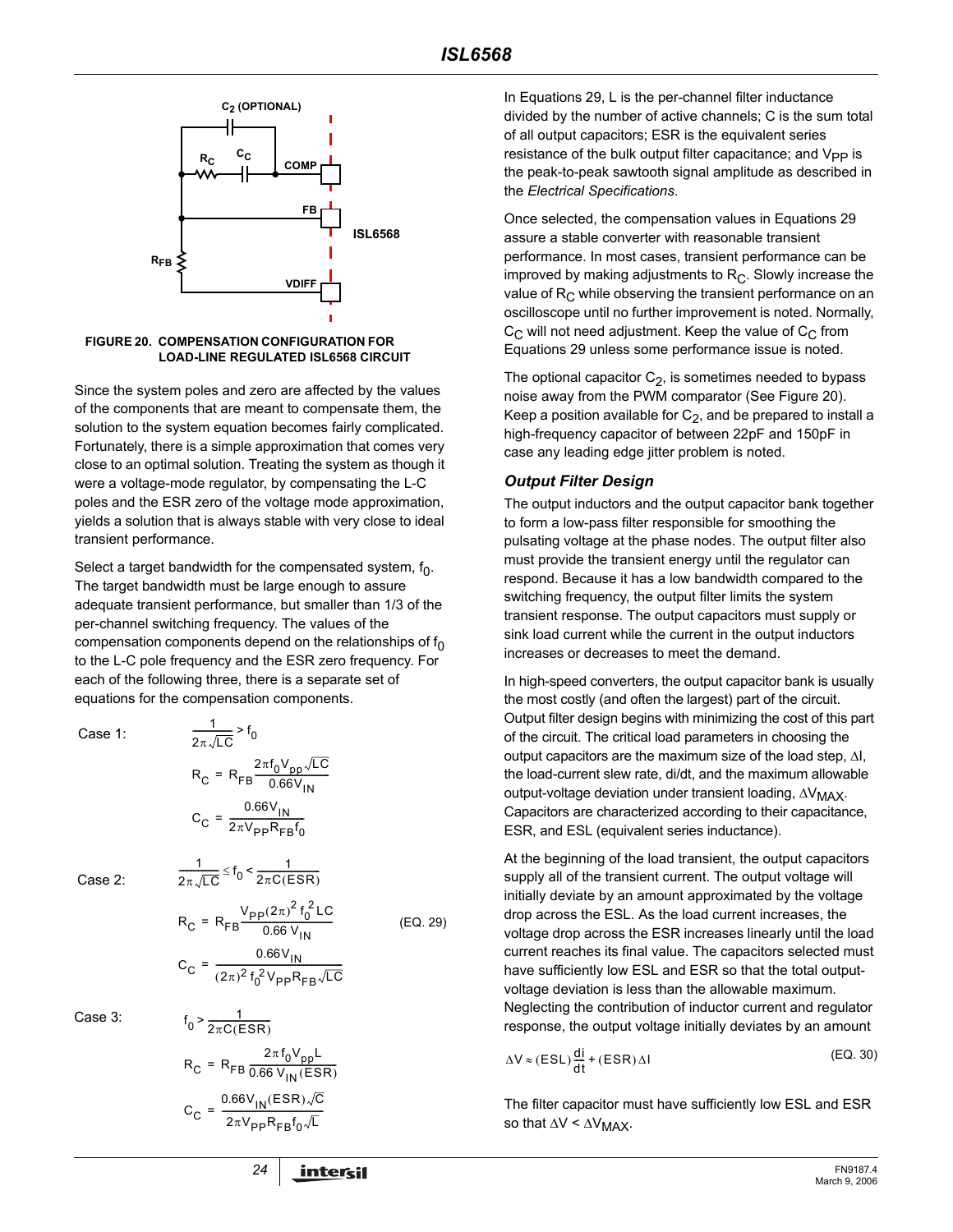

**FIGURE 20. COMPENSATION CONFIGURATION FOR LOAD-LINE REGULATED ISL6568 CIRCUIT**

Since the system poles and zero are affected by the values of the components that are meant to compensate them, the solution to the system equation becomes fairly complicated. Fortunately, there is a simple approximation that comes very close to an optimal solution. Treating the system as though it were a voltage-mode regulator, by compensating the L-C poles and the ESR zero of the voltage mode approximation, yields a solution that is always stable with very close to ideal transient performance.

Select a target bandwidth for the compensated system,  $f_0$ . The target bandwidth must be large enough to assure adequate transient performance, but smaller than 1/3 of the per-channel switching frequency. The values of the compensation components depend on the relationships of  $f_0$ to the L-C pole frequency and the ESR zero frequency. For each of the following three, there is a separate set of equations for the compensation components.

Case 1:

$$
\frac{1}{2\pi\sqrt{LC}} > f_0
$$
  
\n
$$
R_C = R_{FB} \frac{2\pi f_0 V_{pp} \sqrt{LC}}{0.66 V_{IN}}
$$
  
\n
$$
C_C = \frac{0.66 V_{IN}}{2\pi V_{pp} R_{FB} f_0}
$$

 $\frac{1}{2\pi\sqrt{LC}} \leq f_0 < \frac{1}{2\pi C(E)}$ 

1

Case 2:

(EQ. 29)

$$
R_C = R_{FB} \frac{P_{\text{B}} \frac{V_{\text{B}}}{V_{\text{IN}}}}{0.66 V_{\text{IN}}}
$$

$$
C_C = \frac{0.66 V_{\text{IN}}}{(2\pi)^2 f_0^2 V_{\text{PP}} R_{\text{FB}} \sqrt{LC}}
$$

 $R_C = R_{FB} \frac{V_{PP}(2\pi)^2 f_0^2 LC}{0.66 V_{\text{max}}}$ 

 $\leq f_0 < \frac{1}{2\pi C (ESR)}$ 

Case 3

3:  
\n
$$
f_0 > \frac{1}{2\pi C (ESR)}
$$
\n
$$
R_C = R_{FB} \frac{2\pi f_0 V_{pp} L}{0.66 V_{IN} (ESR)}
$$
\n
$$
C_C = \frac{0.66 V_{IN} (ESR) \sqrt{C}}{2\pi V_{pp} R_{FB} f_0 \sqrt{L}}
$$

1

In Equations 29, L is the per-channel filter inductance divided by the number of active channels; C is the sum total of all output capacitors; ESR is the equivalent series resistance of the bulk output filter capacitance; and  $V_{PP}$  is the peak-to-peak sawtooth signal amplitude as described in the *Electrical Specifications*.

Once selected, the compensation values in Equations 29 assure a stable converter with reasonable transient performance. In most cases, transient performance can be improved by making adjustments to  $R<sub>C</sub>$ . Slowly increase the value of  $R<sub>C</sub>$  while observing the transient performance on an oscilloscope until no further improvement is noted. Normally,  $C_{\text{C}}$  will not need adjustment. Keep the value of  $C_{\text{C}}$  from Equations 29 unless some performance issue is noted.

The optional capacitor  $C_2$ , is sometimes needed to bypass noise away from the PWM comparator (See Figure 20). Keep a position available for  $C_2$ , and be prepared to install a high-frequency capacitor of between 22pF and 150pF in case any leading edge jitter problem is noted.

#### <span id="page-23-0"></span>*Output Filter Design*

The output inductors and the output capacitor bank together to form a low-pass filter responsible for smoothing the pulsating voltage at the phase nodes. The output filter also must provide the transient energy until the regulator can respond. Because it has a low bandwidth compared to the switching frequency, the output filter limits the system transient response. The output capacitors must supply or sink load current while the current in the output inductors increases or decreases to meet the demand.

In high-speed converters, the output capacitor bank is usually the most costly (and often the largest) part of the circuit. Output filter design begins with minimizing the cost of this part of the circuit. The critical load parameters in choosing the output capacitors are the maximum size of the load step, ∆I, the load-current slew rate, di/dt, and the maximum allowable output-voltage deviation under transient loading, ∆V<sub>MAX</sub>. Capacitors are characterized according to their capacitance, ESR, and ESL (equivalent series inductance).

At the beginning of the load transient, the output capacitors supply all of the transient current. The output voltage will initially deviate by an amount approximated by the voltage drop across the ESL. As the load current increases, the voltage drop across the ESR increases linearly until the load current reaches its final value. The capacitors selected must have sufficiently low ESL and ESR so that the total outputvoltage deviation is less than the allowable maximum. Neglecting the contribution of inductor current and regulator response, the output voltage initially deviates by an amount

$$
\Delta V \approx (ESL) \frac{di}{dt} + (ESR) \Delta I
$$
 (EQ. 30)

The filter capacitor must have sufficiently low ESL and ESR so that  $\Delta V < \Delta V_{MAX}$ .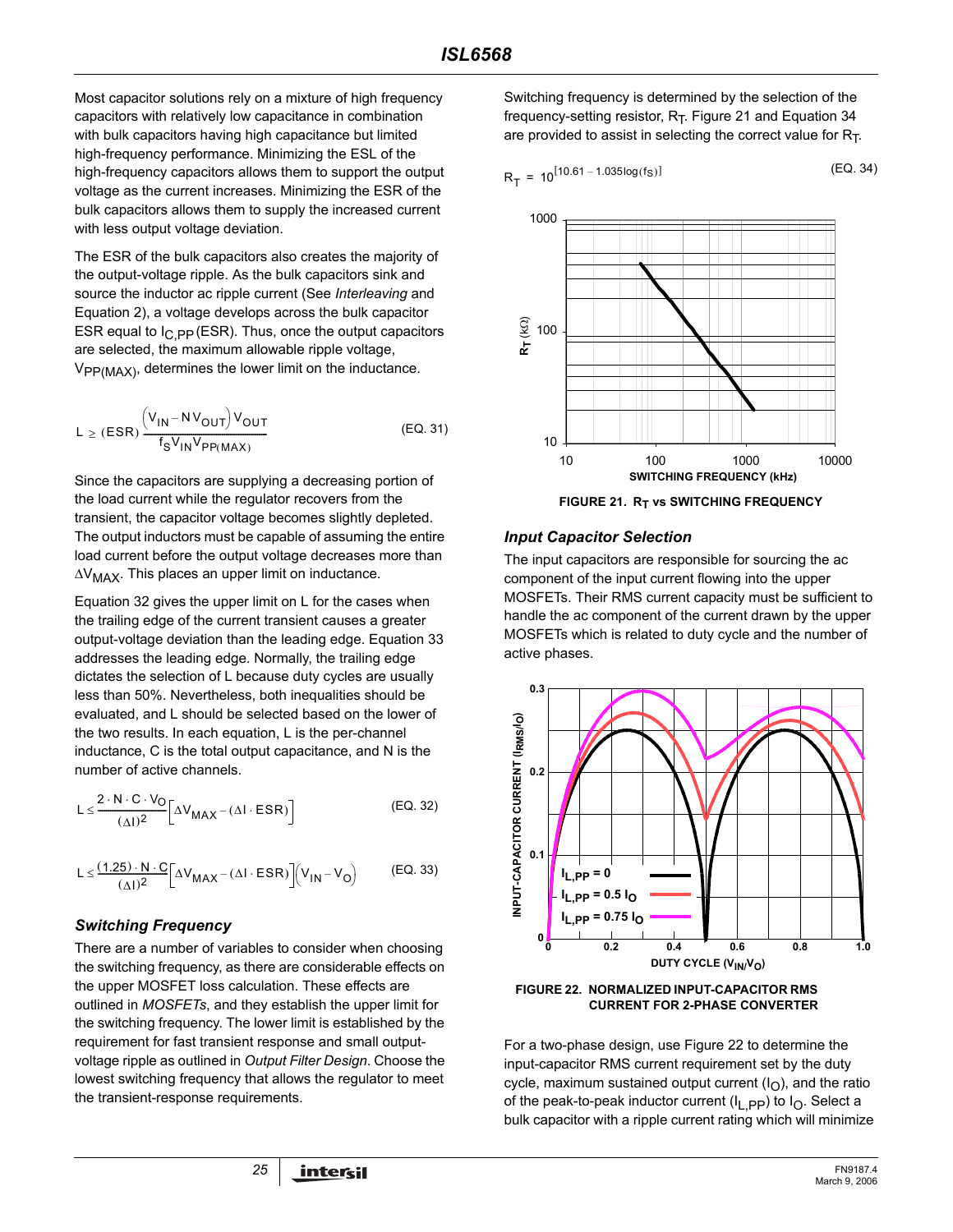Most capacitor solutions rely on a mixture of high frequency capacitors with relatively low capacitance in combination with bulk capacitors having high capacitance but limited high-frequency performance. Minimizing the ESL of the high-frequency capacitors allows them to support the output voltage as the current increases. Minimizing the ESR of the bulk capacitors allows them to supply the increased current with less output voltage deviation.

The ESR of the bulk capacitors also creates the majority of the output-voltage ripple. As the bulk capacitors sink and source the inductor ac ripple current (See *[Interleaving](#page-9-0)* and Equation 2), a voltage develops across the bulk capacitor ESR equal to  $I_C$  pp (ESR). Thus, once the output capacitors are selected, the maximum allowable ripple voltage,  $V_{PP(MAX)}$ , determines the lower limit on the inductance.

$$
L \ge (ESR) \frac{\left(V_{IN} - NV_{OUT}\right)V_{OUT}}{f_S V_{IN} V_{PP(MAX)}}
$$
 (EQ. 31)

Since the capacitors are supplying a decreasing portion of the load current while the regulator recovers from the transient, the capacitor voltage becomes slightly depleted. The output inductors must be capable of assuming the entire load current before the output voltage decreases more than ∆V<sub>MAX</sub>. This places an upper limit on inductance.

Equation 32 gives the upper limit on L for the cases when the trailing edge of the current transient causes a greater output-voltage deviation than the leading edge. Equation 33 addresses the leading edge. Normally, the trailing edge dictates the selection of L because duty cycles are usually less than 50%. Nevertheless, both inequalities should be evaluated, and L should be selected based on the lower of the two results. In each equation, L is the per-channel inductance, C is the total output capacitance, and N is the number of active channels.

$$
L \leq \frac{2 \cdot N \cdot C \cdot V_O}{(\Delta I)^2} \left[ \Delta V_{MAX} - (\Delta I \cdot ESR) \right]
$$
 (EQ. 32)

$$
L \leq \frac{(1.25) \cdot N \cdot C}{(\Delta I)^2} \Big[ \Delta V_{MAX} - (\Delta I \cdot ESR) \Big] \Big( V_{IN} - V_O \Big) \tag{EQ.33}
$$

#### *Switching Frequency*

There are a number of variables to consider when choosing the switching frequency, as there are considerable effects on the upper MOSFET loss calculation. These effects are outlined in *[MOSFETs](#page-19-0)*, and they establish the upper limit for the switching frequency. The lower limit is established by the requirement for fast transient response and small outputvoltage ripple as outlined in *[Output Filter Design](#page-23-0)*. Choose the lowest switching frequency that allows the regulator to meet the transient-response requirements.

Switching frequency is determined by the selection of the frequency-setting resistor,  $R_T$ . Figure 21 and Equation 34 are provided to assist in selecting the correct value for  $R<sub>T</sub>$ .

$$
R_{T} = 10^{[10.61 - 1.035 \log(f_S)]}
$$
 (EQ. 34)



#### *Input Capacitor Selection*

The input capacitors are responsible for sourcing the ac component of the input current flowing into the upper MOSFETs. Their RMS current capacity must be sufficient to handle the ac component of the current drawn by the upper MOSFETs which is related to duty cycle and the number of active phases.





For a two-phase design, use Figure 22 to determine the input-capacitor RMS current requirement set by the duty cycle, maximum sustained output current  $(I<sub>O</sub>)$ , and the ratio of the peak-to-peak inductor current  $(I_{L,PP})$  to  $I_{O}$ . Select a bulk capacitor with a ripple current rating which will minimize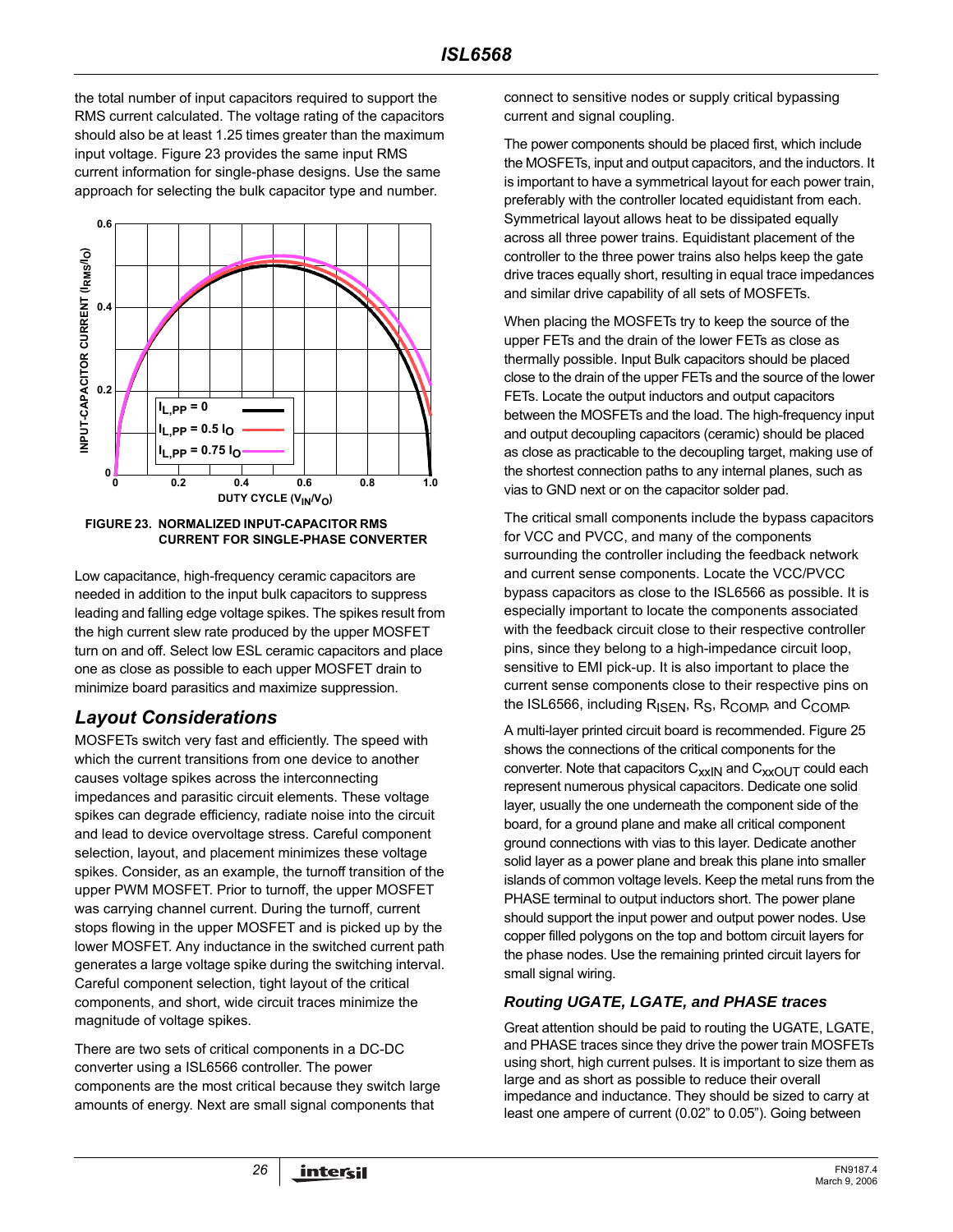the total number of input capacitors required to support the RMS current calculated. The voltage rating of the capacitors should also be at least 1.25 times greater than the maximum input voltage. Figure 23 provides the same input RMS current information for single-phase designs. Use the same approach for selecting the bulk capacitor type and number.



**FIGURE 23. NORMALIZED INPUT-CAPACITOR RMS CURRENT FOR SINGLE-PHASE CONVERTER**

Low capacitance, high-frequency ceramic capacitors are needed in addition to the input bulk capacitors to suppress leading and falling edge voltage spikes. The spikes result from the high current slew rate produced by the upper MOSFET turn on and off. Select low ESL ceramic capacitors and place one as close as possible to each upper MOSFET drain to minimize board parasitics and maximize suppression.

# *Layout Considerations*

MOSFETs switch very fast and efficiently. The speed with which the current transitions from one device to another causes voltage spikes across the interconnecting impedances and parasitic circuit elements. These voltage spikes can degrade efficiency, radiate noise into the circuit and lead to device overvoltage stress. Careful component selection, layout, and placement minimizes these voltage spikes. Consider, as an example, the turnoff transition of the upper PWM MOSFET. Prior to turnoff, the upper MOSFET was carrying channel current. During the turnoff, current stops flowing in the upper MOSFET and is picked up by the lower MOSFET. Any inductance in the switched current path generates a large voltage spike during the switching interval. Careful component selection, tight layout of the critical components, and short, wide circuit traces minimize the magnitude of voltage spikes.

There are two sets of critical components in a DC-DC converter using a ISL6566 controller. The power components are the most critical because they switch large amounts of energy. Next are small signal components that

connect to sensitive nodes or supply critical bypassing current and signal coupling.

The power components should be placed first, which include the MOSFETs, input and output capacitors, and the inductors. It is important to have a symmetrical layout for each power train, preferably with the controller located equidistant from each. Symmetrical layout allows heat to be dissipated equally across all three power trains. Equidistant placement of the controller to the three power trains also helps keep the gate drive traces equally short, resulting in equal trace impedances and similar drive capability of all sets of MOSFETs.

When placing the MOSFETs try to keep the source of the upper FETs and the drain of the lower FETs as close as thermally possible. Input Bulk capacitors should be placed close to the drain of the upper FETs and the source of the lower FETs. Locate the output inductors and output capacitors between the MOSFETs and the load. The high-frequency input and output decoupling capacitors (ceramic) should be placed as close as practicable to the decoupling target, making use of the shortest connection paths to any internal planes, such as vias to GND next or on the capacitor solder pad.

The critical small components include the bypass capacitors for VCC and PVCC, and many of the components surrounding the controller including the feedback network and current sense components. Locate the VCC/PVCC bypass capacitors as close to the ISL6566 as possible. It is especially important to locate the components associated with the feedback circuit close to their respective controller pins, since they belong to a high-impedance circuit loop, sensitive to EMI pick-up. It is also important to place the current sense components close to their respective pins on the ISL6566, including R<sub>ISEN</sub>, R<sub>S</sub>, R<sub>COMP</sub>, and C<sub>COMP</sub>.

A multi-layer printed circuit board is recommended. Figure 25 shows the connections of the critical components for the converter. Note that capacitors  $C_{xxIN}$  and  $C_{xxOUT}$  could each represent numerous physical capacitors. Dedicate one solid layer, usually the one underneath the component side of the board, for a ground plane and make all critical component ground connections with vias to this layer. Dedicate another solid layer as a power plane and break this plane into smaller islands of common voltage levels. Keep the metal runs from the PHASE terminal to output inductors short. The power plane should support the input power and output power nodes. Use copper filled polygons on the top and bottom circuit layers for the phase nodes. Use the remaining printed circuit layers for small signal wiring.

### *Routing UGATE, LGATE, and PHASE traces*

Great attention should be paid to routing the UGATE, LGATE, and PHASE traces since they drive the power train MOSFETs using short, high current pulses. It is important to size them as large and as short as possible to reduce their overall impedance and inductance. They should be sized to carry at least one ampere of current (0.02" to 0.05"). Going between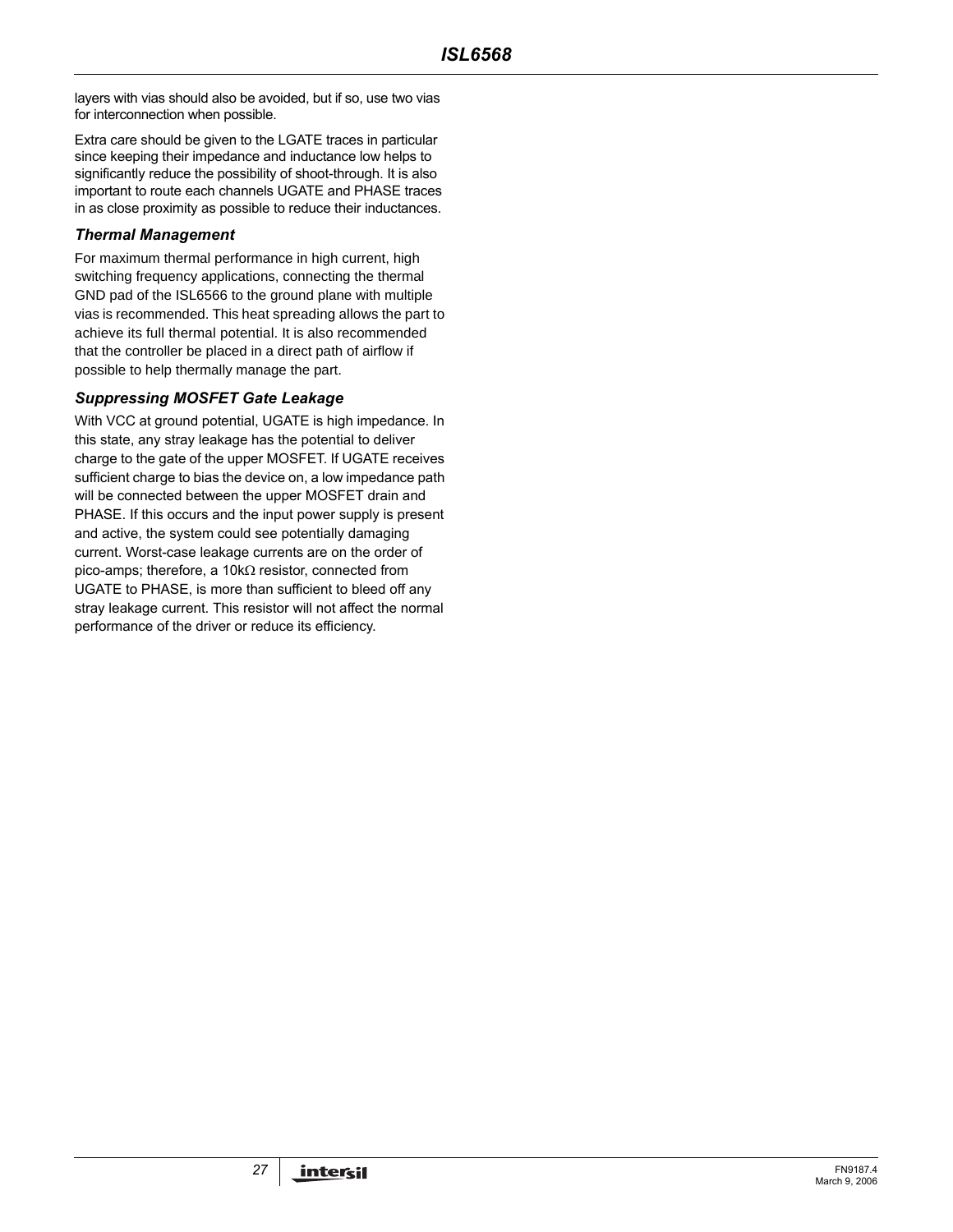layers with vias should also be avoided, but if so, use two vias for interconnection when possible.

Extra care should be given to the LGATE traces in particular since keeping their impedance and inductance low helps to significantly reduce the possibility of shoot-through. It is also important to route each channels UGATE and PHASE traces in as close proximity as possible to reduce their inductances.

#### *Thermal Management*

For maximum thermal performance in high current, high switching frequency applications, connecting the thermal GND pad of the ISL6566 to the ground plane with multiple vias is recommended. This heat spreading allows the part to achieve its full thermal potential. It is also recommended that the controller be placed in a direct path of airflow if possible to help thermally manage the part.

### *Suppressing MOSFET Gate Leakage*

With VCC at ground potential, UGATE is high impedance. In this state, any stray leakage has the potential to deliver charge to the gate of the upper MOSFET. If UGATE receives sufficient charge to bias the device on, a low impedance path will be connected between the upper MOSFET drain and PHASE. If this occurs and the input power supply is present and active, the system could see potentially damaging current. Worst-case leakage currents are on the order of pico-amps; therefore, a 10kΩ resistor, connected from UGATE to PHASE, is more than sufficient to bleed off any stray leakage current. This resistor will not affect the normal performance of the driver or reduce its efficiency.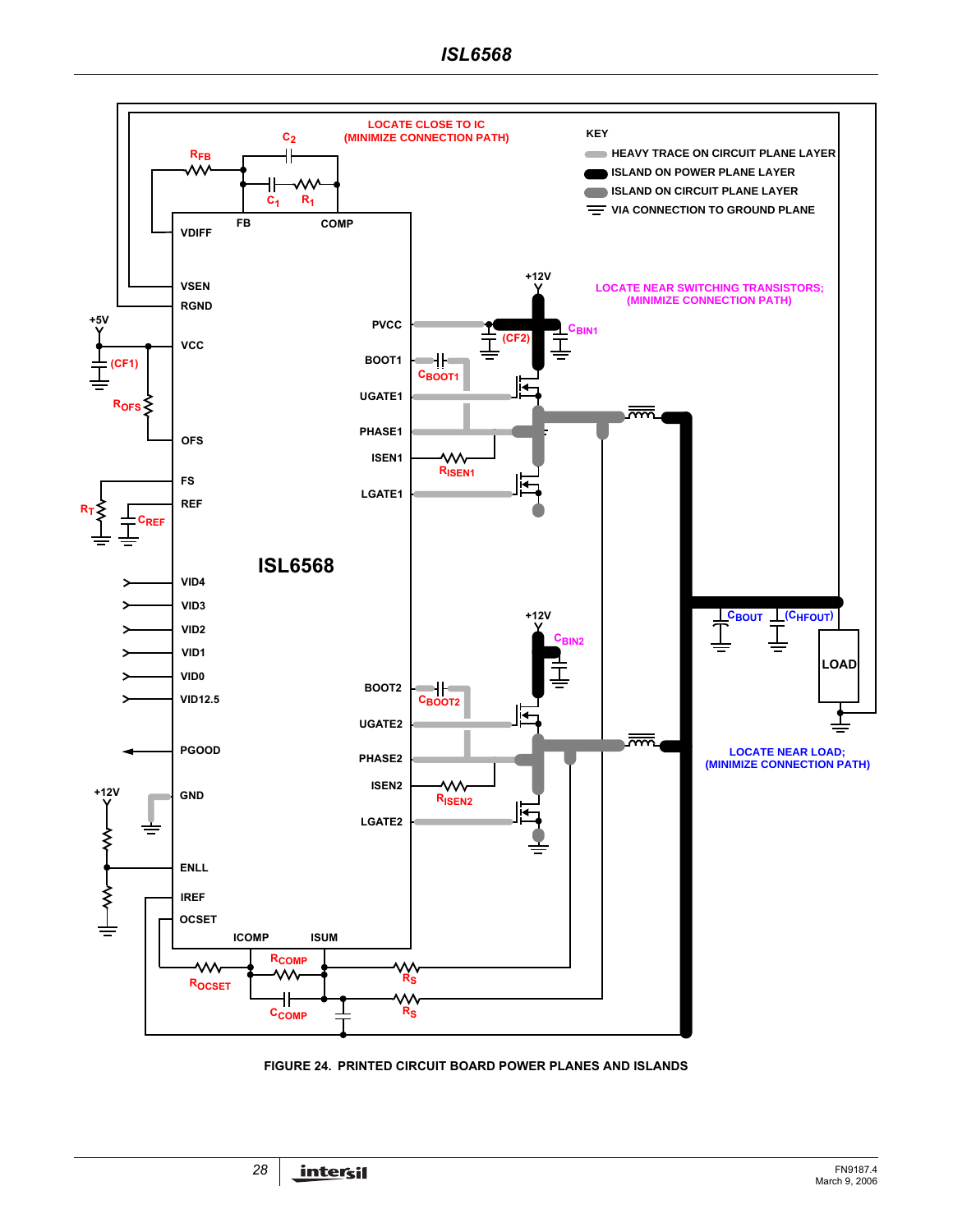

**FIGURE 24. PRINTED CIRCUIT BOARD POWER PLANES AND ISLANDS**